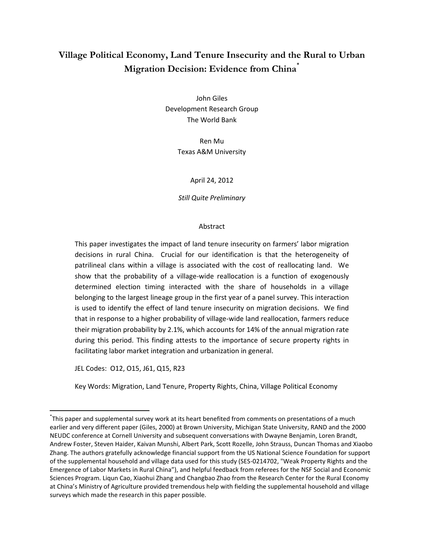# **Village Political Economy, Land Tenure Insecurity and the Rural to Urban Migration Decision: Evidence from China**\*

John Giles Development Research Group The World Bank

> Ren Mu Texas A&M University

> > April 24, 2012

*Still Quite Preliminary*

#### Abstract

This paper investigates the impact of land tenure insecurity on farmers' labor migration decisions in rural China. Crucial for our identification is that the heterogeneity of patrilineal clans within a village is associated with the cost of reallocating land. We show that the probability of a village-wide reallocation is a function of exogenously determined election timing interacted with the share of households in a village belonging to the largest lineage group in the first year of a panel survey. This interaction is used to identify the effect of land tenure insecurity on migration decisions. We find that in response to a higher probability of village-wide land reallocation, farmers reduce their migration probability by 2.1%, which accounts for 14% of the annual migration rate during this period. This finding attests to the importance of secure property rights in facilitating labor market integration and urbanization in general.

JEL Codes: O12, O15, J61, Q15, R23

 $\overline{\phantom{a}}$ 

Key Words: Migration, Land Tenure, Property Rights, China, Village Political Economy

<sup>\*</sup> This paper and supplemental survey work at its heart benefited from comments on presentations of a much earlier and very different paper (Giles, 2000) at Brown University, Michigan State University, RAND and the 2000 NEUDC conference at Cornell University and subsequent conversations with Dwayne Benjamin, Loren Brandt, Andrew Foster, Steven Haider, Kaivan Munshi, Albert Park, Scott Rozelle, John Strauss, Duncan Thomas and Xiaobo Zhang. The authors gratefully acknowledge financial support from the US National Science Foundation for support of the supplemental household and village data used for this study (SES-0214702, "Weak Property Rights and the Emergence of Labor Markets in Rural China"), and helpful feedback from referees for the NSF Social and Economic Sciences Program. Liqun Cao, Xiaohui Zhang and Changbao Zhao from the Research Center for the Rural Economy at China's Ministry of Agriculture provided tremendous help with fielding the supplemental household and village surveys which made the research in this paper possible.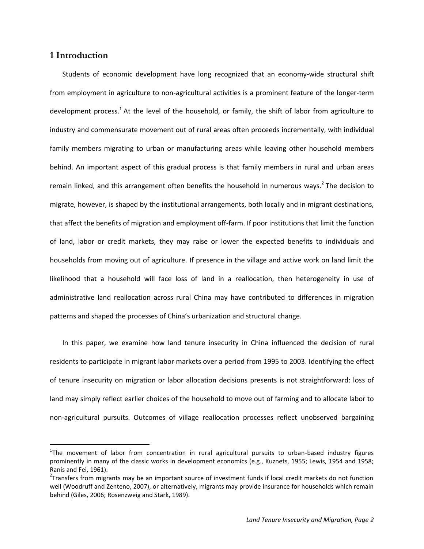### **1 Introduction**

 $\overline{a}$ 

Students of economic development have long recognized that an economy-wide structural shift from employment in agriculture to non-agricultural activities is a prominent feature of the longer-term development process.<sup>1</sup> At the level of the household, or family, the shift of labor from agriculture to industry and commensurate movement out of rural areas often proceeds incrementally, with individual family members migrating to urban or manufacturing areas while leaving other household members behind. An important aspect of this gradual process is that family members in rural and urban areas remain linked, and this arrangement often benefits the household in numerous ways.<sup>2</sup> The decision to migrate, however, is shaped by the institutional arrangements, both locally and in migrant destinations, that affect the benefits of migration and employment off-farm. If poor institutions that limit the function of land, labor or credit markets, they may raise or lower the expected benefits to individuals and households from moving out of agriculture. If presence in the village and active work on land limit the likelihood that a household will face loss of land in a reallocation, then heterogeneity in use of administrative land reallocation across rural China may have contributed to differences in migration patterns and shaped the processes of China's urbanization and structural change.

In this paper, we examine how land tenure insecurity in China influenced the decision of rural residents to participate in migrant labor markets over a period from 1995 to 2003. Identifying the effect of tenure insecurity on migration or labor allocation decisions presents is not straightforward: loss of land may simply reflect earlier choices of the household to move out of farming and to allocate labor to non-agricultural pursuits. Outcomes of village reallocation processes reflect unobserved bargaining

<sup>&</sup>lt;sup>1</sup>The movement of labor from concentration in rural agricultural pursuits to urban-based industry figures prominently in many of the classic works in development economics (e.g., Kuznets, 1955; Lewis, 1954 and 1958; Ranis and Fei, 1961).

<sup>&</sup>lt;sup>2</sup>Transfers from migrants may be an important source of investment funds if local credit markets do not function well (Woodruff and Zenteno, 2007), or alternatively, migrants may provide insurance for households which remain behind (Giles, 2006; Rosenzweig and Stark, 1989).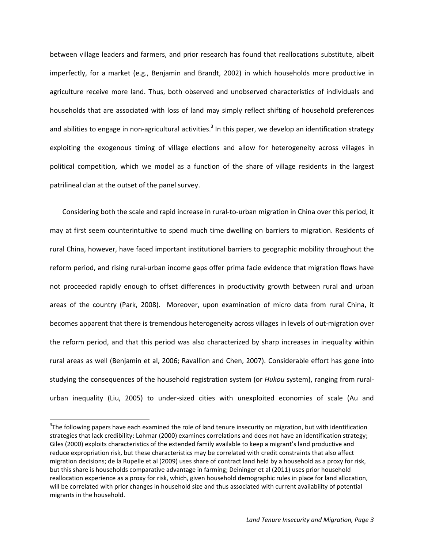between village leaders and farmers, and prior research has found that reallocations substitute, albeit imperfectly, for a market (e.g., Benjamin and Brandt, 2002) in which households more productive in agriculture receive more land. Thus, both observed and unobserved characteristics of individuals and households that are associated with loss of land may simply reflect shifting of household preferences and abilities to engage in non-agricultural activities.<sup>3</sup> In this paper, we develop an identification strategy exploiting the exogenous timing of village elections and allow for heterogeneity across villages in political competition, which we model as a function of the share of village residents in the largest patrilineal clan at the outset of the panel survey.

Considering both the scale and rapid increase in rural-to-urban migration in China over this period, it may at first seem counterintuitive to spend much time dwelling on barriers to migration. Residents of rural China, however, have faced important institutional barriers to geographic mobility throughout the reform period, and rising rural-urban income gaps offer prima facie evidence that migration flows have not proceeded rapidly enough to offset differences in productivity growth between rural and urban areas of the country (Park, 2008). Moreover, upon examination of micro data from rural China, it becomes apparent that there is tremendous heterogeneity across villages in levels of out-migration over the reform period, and that this period was also characterized by sharp increases in inequality within rural areas as well (Benjamin et al, 2006; Ravallion and Chen, 2007). Considerable effort has gone into studying the consequences of the household registration system (or *Hukou* system), ranging from ruralurban inequality (Liu, 2005) to under-sized cities with unexploited economies of scale (Au and

 $3$ The following papers have each examined the role of land tenure insecurity on migration, but with identification strategies that lack credibility: Lohmar (2000) examines correlations and does not have an identification strategy; Giles (2000) exploits characteristics of the extended family available to keep a migrant's land productive and reduce expropriation risk, but these characteristics may be correlated with credit constraints that also affect migration decisions; de la Rupelle et al (2009) uses share of contract land held by a household as a proxy for risk, but this share is households comparative advantage in farming; Deininger et al (2011) uses prior household reallocation experience as a proxy for risk, which, given household demographic rules in place for land allocation, will be correlated with prior changes in household size and thus associated with current availability of potential migrants in the household.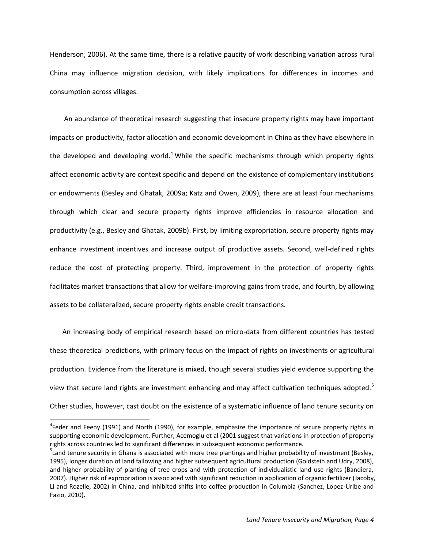Henderson, 2006). At the same time, there is a relative paucity of work describing variation across rural China may influence migration decision, with likely implications for differences in incomes and consumption across villages.

An abundance of theoretical research suggesting that insecure property rights may have important impacts on productivity, factor allocation and economic development in China as they have elsewhere in the developed and developing world.<sup>4</sup> While the specific mechanisms through which property rights affect economic activity are context specific and depend on the existence of complementary institutions or endowments (Besley and Ghatak, 2009a; Katz and Owen, 2009), there are at least four mechanisms through which clear and secure property rights improve efficiencies in resource allocation and productivity (e.g., Besley and Ghatak, 2009b). First, by limiting expropriation, secure property rights may enhance investment incentives and increase output of productive assets. Second, well-defined rights reduce the cost of protecting property. Third, improvement in the protection of property rights facilitates market transactions that allow for welfare-improving gains from trade, and fourth, by allowing assets to be collateralized, secure property rights enable credit transactions.

An increasing body of empirical research based on micro-data from different countries has tested these theoretical predictions, with primary focus on the impact of rights on investments or agricultural production. Evidence from the literature is mixed, though several studies yield evidence supporting the view that secure land rights are investment enhancing and may affect cultivation techniques adopted.<sup>5</sup> Other studies, however, cast doubt on the existence of a systematic influence of land tenure security on

<sup>&</sup>lt;sup>4</sup>Feder and Feeny (1991) and North (1990), for example, emphasize the importance of secure property rights in supporting economic development. Further, Acemoglu et al (2001 suggest that variations in protection of property rights across countries led to significant differences in subsequent economic performance.

 $5$ Land tenure security in Ghana is associated with more tree plantings and higher probability of investment (Besley, 1995), longer duration of land fallowing and higher subsequent agricultural production (Goldstein and Udry, 2008), and higher probability of planting of tree crops and with protection of individualistic land use rights (Bandiera, 2007). Higher risk of expropriation is associated with significant reduction in application of organic fertilizer (Jacoby, Li and Rozelle, 2002) in China, and inhibited shifts into coffee production in Columbia (Sanchez, Lopez-Uribe and Fazio, 2010).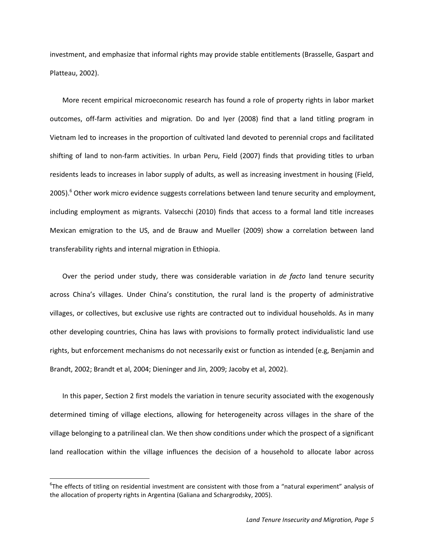investment, and emphasize that informal rights may provide stable entitlements (Brasselle, Gaspart and Platteau, 2002).

More recent empirical microeconomic research has found a role of property rights in labor market outcomes, off-farm activities and migration. Do and Iyer (2008) find that a land titling program in Vietnam led to increases in the proportion of cultivated land devoted to perennial crops and facilitated shifting of land to non-farm activities. In urban Peru, Field (2007) finds that providing titles to urban residents leads to increases in labor supply of adults, as well as increasing investment in housing (Field, 2005).<sup>6</sup> Other work micro evidence suggests correlations between land tenure security and employment, including employment as migrants. Valsecchi (2010) finds that access to a formal land title increases Mexican emigration to the US, and de Brauw and Mueller (2009) show a correlation between land transferability rights and internal migration in Ethiopia.

Over the period under study, there was considerable variation in *de facto* land tenure security across China's villages. Under China's constitution, the rural land is the property of administrative villages, or collectives, but exclusive use rights are contracted out to individual households. As in many other developing countries, China has laws with provisions to formally protect individualistic land use rights, but enforcement mechanisms do not necessarily exist or function as intended (e.g, Benjamin and Brandt, 2002; Brandt et al, 2004; Dieninger and Jin, 2009; Jacoby et al, 2002).

In this paper, Section 2 first models the variation in tenure security associated with the exogenously determined timing of village elections, allowing for heterogeneity across villages in the share of the village belonging to a patrilineal clan. We then show conditions under which the prospect of a significant land reallocation within the village influences the decision of a household to allocate labor across

<sup>6</sup> The effects of titling on residential investment are consistent with those from a "natural experiment" analysis of the allocation of property rights in Argentina (Galiana and Schargrodsky, 2005).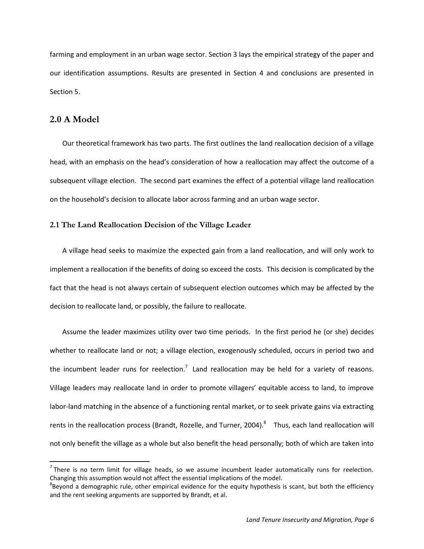farming and employment in an urban wage sector. Section 3 lays the empirical strategy of the paper and our identification assumptions. Results are presented in Section 4 and conclusions are presented in Section 5.

## **2.0 A Model**

 $\overline{a}$ 

Our theoretical framework has two parts. The first outlines the land reallocation decision of a village head, with an emphasis on the head's consideration of how a reallocation may affect the outcome of a subsequent village election. The second part examines the effect of a potential village land reallocation on the household's decision to allocate labor across farming and an urban wage sector.

### **2.1 The Land Reallocation Decision of the Village Leader**

A village head seeks to maximize the expected gain from a land reallocation, and will only work to implement a reallocation if the benefits of doing so exceed the costs. This decision is complicated by the fact that the head is not always certain of subsequent election outcomes which may be affected by the decision to reallocate land, or possibly, the failure to reallocate.

Assume the leader maximizes utility over two time periods. In the first period he (or she) decides whether to reallocate land or not; a village election, exogenously scheduled, occurs in period two and the incumbent leader runs for reelection.<sup>7</sup> Land reallocation may be held for a variety of reasons. Village leaders may reallocate land in order to promote villagers' equitable access to land, to improve labor-land matching in the absence of a functioning rental market, or to seek private gains via extracting rents in the reallocation process (Brandt, Rozelle, and Turner, 2004). $^8$  Thus, each land reallocation will not only benefit the village as a whole but also benefit the head personally; both of which are taken into

 $<sup>7</sup>$  There is no term limit for village heads, so we assume incumbent leader automatically runs for reelection.</sup> Changing this assumption would not affect the essential implications of the model.

 ${}^{8}$ Beyond a demographic rule, other empirical evidence for the equity hypothesis is scant, but both the efficiency and the rent seeking arguments are supported by Brandt, et al.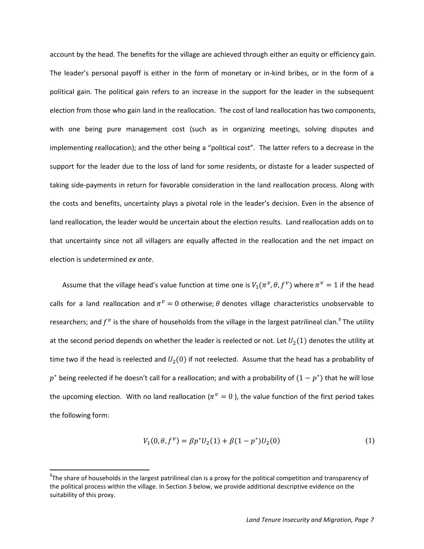account by the head. The benefits for the village are achieved through either an equity or efficiency gain. The leader's personal payoff is either in the form of monetary or in-kind bribes, or in the form of a political gain. The political gain refers to an increase in the support for the leader in the subsequent election from those who gain land in the reallocation. The cost of land reallocation has two components, with one being pure management cost (such as in organizing meetings, solving disputes and implementing reallocation); and the other being a "political cost". The latter refers to a decrease in the support for the leader due to the loss of land for some residents, or distaste for a leader suspected of taking side-payments in return for favorable consideration in the land reallocation process. Along with the costs and benefits, uncertainty plays a pivotal role in the leader's decision. Even in the absence of land reallocation, the leader would be uncertain about the election results. Land reallocation adds on to that uncertainty since not all villagers are equally affected in the reallocation and the net impact on election is undetermined *ex ante*.

Assume that the village head's value function at time one is  $V_1(\pi^{\nu},\theta,f^{\nu})$  where  $\pi^{\nu}=1$  if the head calls for a land reallocation and  $\pi^v = 0$  otherwise;  $\theta$  denotes village characteristics unobservable to researchers; and  $f^v$  is the share of households from the village in the largest patrilineal clan.<sup>9</sup> The utility at the second period depends on whether the leader is reelected or not. Let  $U_2(1)$  denotes the utility at time two if the head is reelected and  $U_2(0)$  if not reelected. Assume that the head has a probability of  $p^*$  being reelected if he doesn't call for a reallocation; and with a probability of  $(1-p^*)$  that he will lose the upcoming election. With no land reallocation ( $\pi^{\nu} = 0$  ), the value function of the first period takes the following form:

$$
V_1(0, \theta, f^{\nu}) = \beta p^* U_2(1) + \beta (1 - p^*) U_2(0)
$$
\n(1)

 $\overline{\phantom{a}}$ 

 $9$ The share of households in the largest patrilineal clan is a proxy for the political competition and transparency of the political process within the village. In Section 3 below, we provide additional descriptive evidence on the suitability of this proxy.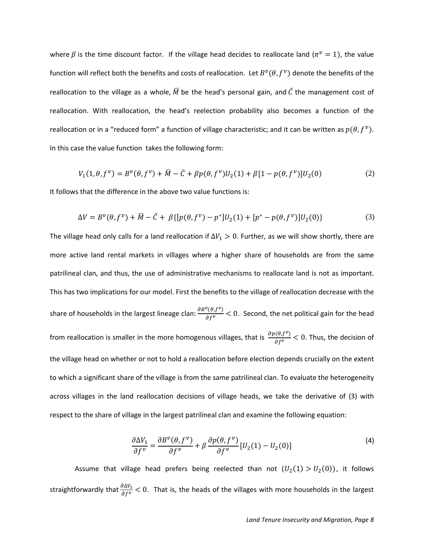where  $\beta$  is the time discount factor. If the village head decides to reallocate land ( $\pi^{\nu} = 1$ ), the value function will reflect both the benefits and costs of reallocation. Let  $B^v(\theta, f^v)$  denote the benefits of the reallocation to the village as a whole,  $\overline{M}$  be the head's personal gain, and  $\overline{C}$  the management cost of reallocation. With reallocation, the head's reelection probability also becomes a function of the reallocation or in a "reduced form" a function of village characteristic; and it can be written as  $p(\theta, f^{\nu})$ . In this case the value function takes the following form:

$$
V_1(1, \theta, f^{\nu}) = B^{\nu}(\theta, f^{\nu}) + \overline{M} - \overline{C} + \beta p(\theta, f^{\nu})U_2(1) + \beta [1 - p(\theta, f^{\nu})]U_2(0)
$$
 (2)

It follows that the difference in the above two value functions is:

$$
\Delta V = B^{\nu}(\theta, f^{\nu}) + \bar{M} - \bar{C} + \beta \{ [p(\theta, f^{\nu}) - p^*]U_2(1) + [p^* - p(\theta, f^{\nu})]U_2(0) \}
$$
(3)

The village head only calls for a land reallocation if  $\Delta V_1 > 0$ . Further, as we will show shortly, there are more active land rental markets in villages where a higher share of households are from the same patrilineal clan, and thus, the use of administrative mechanisms to reallocate land is not as important. This has two implications for our model. First the benefits to the village of reallocation decrease with the share of households in the largest lineage clan:  $\frac{\partial B^{\nu}(\theta,f^{\nu})}{\partial f^{\nu}}$  < 0. Second, the net political gain for the head from reallocation is smaller in the more homogenous villages, that is  $\frac{\partial p(\theta, f^v)}{\partial f^v}$  < 0. Thus, the decision of the village head on whether or not to hold a reallocation before election depends crucially on the extent to which a significant share of the village is from the same patrilineal clan. To evaluate the heterogeneity across villages in the land reallocation decisions of village heads, we take the derivative of (3) with respect to the share of village in the largest patrilineal clan and examine the following equation:

$$
\frac{\partial \Delta V_1}{\partial f^{\nu}} = \frac{\partial B^{\nu}(\theta, f^{\nu})}{\partial f^{\nu}} + \beta \frac{\partial p(\theta, f^{\nu})}{\partial f^{\nu}} [U_2(1) - U_2(0)] \tag{4}
$$

Assume that village head prefers being reelected than not  $(U_2(1) > U_2(0))$ , it follows straightforwardly that  $\frac{\partial \Delta v_1}{\partial f^{\nu}}$  < 0. That is, the heads of the villages with more households in the largest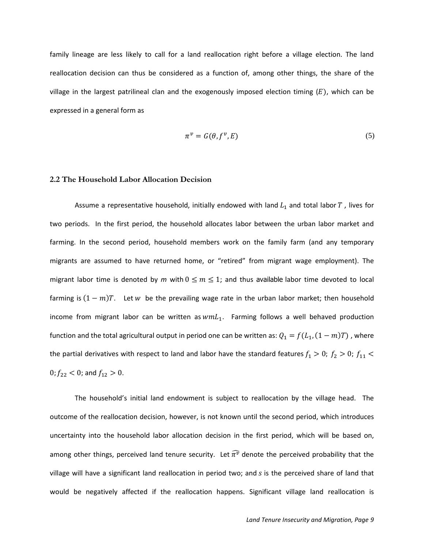family lineage are less likely to call for a land reallocation right before a village election. The land reallocation decision can thus be considered as a function of, among other things, the share of the village in the largest patrilineal clan and the exogenously imposed election timing  $(E)$ , which can be expressed in a general form as

$$
\pi^{\nu} = G(\theta, f^{\nu}, E) \tag{5}
$$

#### **2.2 The Household Labor Allocation Decision**

Assume a representative household, initially endowed with land  $L_1$  and total labor T, lives for two periods. In the first period, the household allocates labor between the urban labor market and farming. In the second period, household members work on the family farm (and any temporary migrants are assumed to have returned home, or "retired" from migrant wage employment). The migrant labor time is denoted by *m* with  $0 \le m \le 1$ ; and thus available labor time devoted to local farming is  $(1 - m)T$ . Let w be the prevailing wage rate in the urban labor market; then household income from migrant labor can be written as  $wmL<sub>1</sub>$ . Farming follows a well behaved production function and the total agricultural output in period one can be written as:  $Q_1 = f(L_1, (1-m)T)$ , where the partial derivatives with respect to land and labor have the standard features  $f_1 > 0$ ;  $f_2 > 0$ ;  $f_{11} <$ 0;  $f_{22}$  < 0; and  $f_{12}$  > 0.

The household's initial land endowment is subject to reallocation by the village head. The outcome of the reallocation decision, however, is not known until the second period, which introduces uncertainty into the household labor allocation decision in the first period, which will be based on, among other things, perceived land tenure security. Let  $\widehat{\pi}^{\widehat{\nu}}$  denote the perceived probability that the village will have a significant land reallocation in period two; and  $s$  is the perceived share of land that would be negatively affected if the reallocation happens. Significant village land reallocation is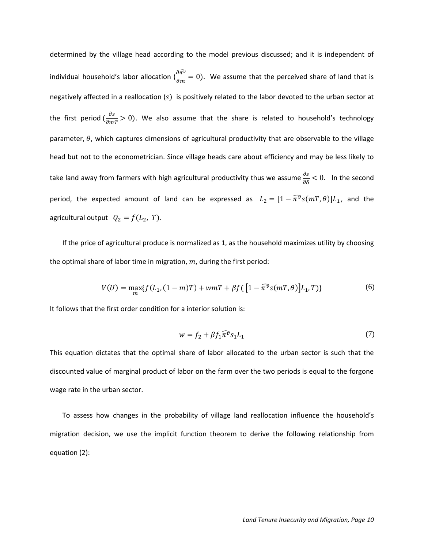determined by the village head according to the model previous discussed; and it is independent of individual household's labor allocation  $(\frac{\partial \tilde{\pi}^{\tilde{v}}}{\partial m}=0)$ . We assume that the perceived share of land that is negatively affected in a reallocation  $(s)$  is positively related to the labor devoted to the urban sector at the first period  $(\frac{\partial s}{\partial mT} > 0)$ . We also assume that the share is related to household's technology parameter,  $\theta$ , which captures dimensions of agricultural productivity that are observable to the village head but not to the econometrician. Since village heads care about efficiency and may be less likely to take land away from farmers with high agricultural productivity thus we assume  $\frac{\delta}{\delta \delta}$  < 0. In the second period, the expected amount of land can be expressed as  $L_2 = [1 - \widehat{\pi}^v s(mT, \theta)]L_1$ , and the agricultural output  $Q_2 = f(L_2, T)$ .

If the price of agricultural produce is normalized as 1, as the household maximizes utility by choosing the optimal share of labor time in migration,  $m$ , during the first period:

$$
V(U) = \max_{m} \{ f(L_1, (1-m)T) + w mT + \beta f([1 - \widehat{\pi^{\nu}} s(mT, \theta)] L_1, T) \}
$$
(6)

It follows that the first order condition for a interior solution is:

$$
w = f_2 + \beta f_1 \widehat{\pi}^v s_1 L_1 \tag{7}
$$

This equation dictates that the optimal share of labor allocated to the urban sector is such that the discounted value of marginal product of labor on the farm over the two periods is equal to the forgone wage rate in the urban sector.

To assess how changes in the probability of village land reallocation influence the household's migration decision, we use the implicit function theorem to derive the following relationship from equation (2):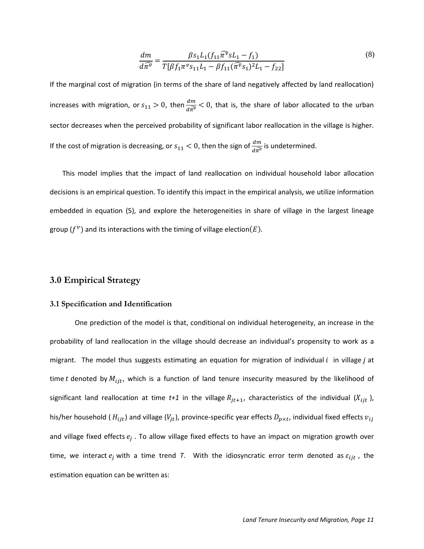$$
\frac{dm}{d\widehat{\pi}^v} = \frac{\beta s_1 L_1(f_{11}\widehat{\pi}^v s L_1 - f_1)}{T[\beta f_1 \pi^v s_{11} L_1 - \beta f_{11}(\widehat{\pi}^v s_1)^2 L_1 - f_{22}]}
$$
\n(8)

If the marginal cost of migration (in terms of the share of land negatively affected by land reallocation) increases with migration, or  $s_{11} > 0$ , then  $\frac{dm}{d\hat{\pi}^p} < 0$ , that is, the share of labor allocated to the urban sector decreases when the perceived probability of significant labor reallocation in the village is higher. If the cost of migration is decreasing, or  $s_{11} < 0$ , then the sign of  $\frac{dm}{d\widehat{\pi}^v}$  is undetermined.

This model implies that the impact of land reallocation on individual household labor allocation decisions is an empirical question. To identify this impact in the empirical analysis, we utilize information embedded in equation (5), and explore the heterogeneities in share of village in the largest lineage group  $(f^v)$  and its interactions with the timing of village election(

### **3.0 Empirical Strategy**

#### **3.1 Specification and Identification**

One prediction of the model is that, conditional on individual heterogeneity, an increase in the probability of land reallocation in the village should decrease an individual's propensity to work as a migrant. The model thus suggests estimating an equation for migration of individual i in village j at time t denoted by  $M_{ijt}$ , which is a function of land tenure insecurity measured by the likelihood of significant land reallocation at time  $t+1$  in the village  $R_{jt+1}$ , characteristics of the individual  $(X_{ijt})$ , his/her household ( $H_{ijt}$ ) and village ( $V_{jt}$ ), province-specific year effects  $D_{p \times t}$ , individual fixed effects and village fixed effects  $e_j$  . To allow village fixed effects to have an impact on migration growth over time, we interact  $e_j$  with a time trend *T*. With the idiosyncratic error term denoted as  $\varepsilon_{ijt}$ , the estimation equation can be written as: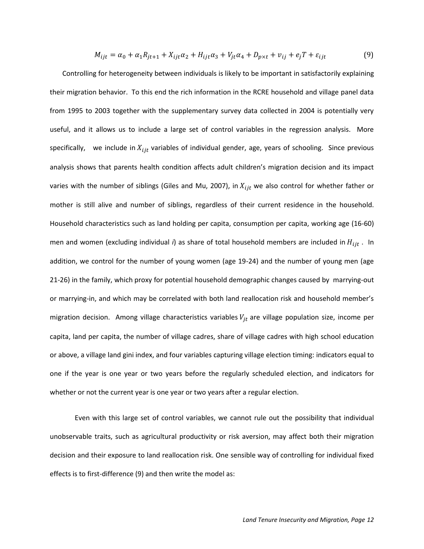$$
M_{ijt} = \alpha_0 + \alpha_1 R_{jt+1} + X_{ijt} \alpha_2 + H_{ijt} \alpha_3 + V_{jt} \alpha_4 + D_{p \times t} + v_{ij} + e_j T + \varepsilon_{ijt}
$$
(9)

Controlling for heterogeneity between individuals is likely to be important in satisfactorily explaining their migration behavior. To this end the rich information in the RCRE household and village panel data from 1995 to 2003 together with the supplementary survey data collected in 2004 is potentially very useful, and it allows us to include a large set of control variables in the regression analysis. More specifically, we include in  $X_{ijt}$  variables of individual gender, age, years of schooling. Since previous analysis shows that parents health condition affects adult children's migration decision and its impact varies with the number of siblings (Giles and Mu, 2007), in  $X_{ijt}$  we also control for whether father or mother is still alive and number of siblings, regardless of their current residence in the household. Household characteristics such as land holding per capita, consumption per capita, working age (16-60) men and women (excluding individual  $i$ ) as share of total household members are included in  $H_{ijt}$ . In addition, we control for the number of young women (age 19-24) and the number of young men (age 21-26) in the family, which proxy for potential household demographic changes caused by marrying-out or marrying-in, and which may be correlated with both land reallocation risk and household member's migration decision. Among village characteristics variables  $V_{jt}$  are village population size, income per capita, land per capita, the number of village cadres, share of village cadres with high school education or above, a village land gini index, and four variables capturing village election timing: indicators equal to one if the year is one year or two years before the regularly scheduled election, and indicators for whether or not the current year is one year or two years after a regular election.

Even with this large set of control variables, we cannot rule out the possibility that individual unobservable traits, such as agricultural productivity or risk aversion, may affect both their migration decision and their exposure to land reallocation risk. One sensible way of controlling for individual fixed effects is to first-difference (9) and then write the model as: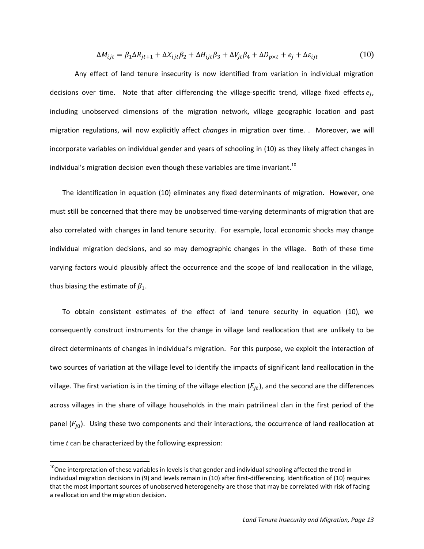$$
\Delta M_{ijt} = \beta_1 \Delta R_{jt+1} + \Delta X_{ijt} \beta_2 + \Delta H_{ijt} \beta_3 + \Delta V_{jt} \beta_4 + \Delta D_{p \times t} + e_j + \Delta \varepsilon_{ijt}
$$
(10)

Any effect of land tenure insecurity is now identified from variation in individual migration decisions over time. Note that after differencing the village-specific trend, village fixed effects  $e_j$ , including unobserved dimensions of the migration network, village geographic location and past migration regulations, will now explicitly affect *changes* in migration over time. . Moreover, we will incorporate variables on individual gender and years of schooling in (10) as they likely affect changes in individual's migration decision even though these variables are time invariant.<sup>10</sup>

The identification in equation (10) eliminates any fixed determinants of migration. However, one must still be concerned that there may be unobserved time-varying determinants of migration that are also correlated with changes in land tenure security. For example, local economic shocks may change individual migration decisions, and so may demographic changes in the village. Both of these time varying factors would plausibly affect the occurrence and the scope of land reallocation in the village, thus biasing the estimate of  $\beta_1$ .

To obtain consistent estimates of the effect of land tenure security in equation (10), we consequently construct instruments for the change in village land reallocation that are unlikely to be direct determinants of changes in individual's migration. For this purpose, we exploit the interaction of two sources of variation at the village level to identify the impacts of significant land reallocation in the village. The first variation is in the timing of the village election  $(E_{it})$ , and the second are the differences across villages in the share of village households in the main patrilineal clan in the first period of the panel  $(F_{i0})$ . Using these two components and their interactions, the occurrence of land reallocation at time *t* can be characterized by the following expression:

 $\overline{a}$ 

 $10$ One interpretation of these variables in levels is that gender and individual schooling affected the trend in individual migration decisions in (9) and levels remain in (10) after first-differencing. Identification of (10) requires that the most important sources of unobserved heterogeneity are those that may be correlated with risk of facing a reallocation and the migration decision.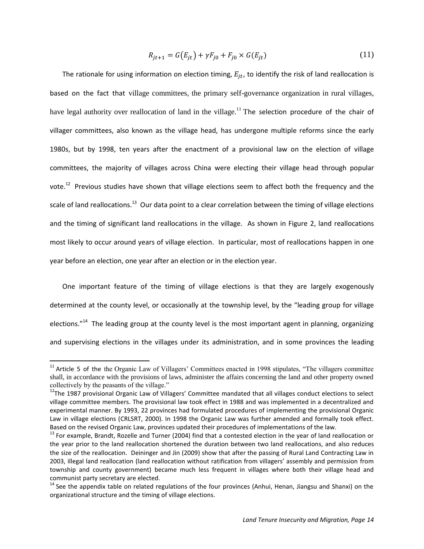$$
R_{jt+1} = G(E_{jt}) + \gamma F_{j0} + F_{j0} \times G(E_{jt})
$$
\n(11)

The rationale for using information on election timing,  $E_{it}$ , to identify the risk of land reallocation is based on the fact that village committees, the primary self-governance organization in rural villages, have legal authority over reallocation of land in the village.<sup>11</sup> The selection procedure of the chair of villager committees, also known as the village head, has undergone multiple reforms since the early 1980s, but by 1998, ten years after the enactment of a provisional law on the election of village committees, the majority of villages across China were electing their village head through popular vote.<sup>12</sup> Previous studies have shown that village elections seem to affect both the frequency and the scale of land reallocations.<sup>13</sup> Our data point to a clear correlation between the timing of village elections and the timing of significant land reallocations in the village. As shown in Figure 2, land reallocations most likely to occur around years of village election. In particular, most of reallocations happen in one year before an election, one year after an election or in the election year.

One important feature of the timing of village elections is that they are largely exogenously determined at the county level, or occasionally at the township level, by the "leading group for village elections."<sup>14</sup> The leading group at the county level is the most important agent in planning, organizing and supervising elections in the villages under its administration, and in some provinces the leading

 $\overline{a}$ 

<sup>&</sup>lt;sup>11</sup> Article 5 of the the Organic Law of Villagers' Committees enacted in 1998 stipulates, "The villagers committee shall, in accordance with the provisions of laws, administer the affairs concerning the land and other property owned collectively by the peasants of the village."

<sup>&</sup>lt;sup>12</sup>The 1987 provisional Organic Law of Villagers' Committee mandated that all villages conduct elections to select village committee members. The provisional law took effect in 1988 and was implemented in a decentralized and experimental manner. By 1993, 22 provinces had formulated procedures of implementing the provisional Organic Law in village elections (CRLSRT, 2000). In 1998 the Organic Law was further amended and formally took effect. Based on the revised Organic Law, provinces updated their procedures of implementations of the law.

<sup>&</sup>lt;sup>13</sup> For example, Brandt, Rozelle and Turner (2004) find that a contested election in the year of land reallocation or the year prior to the land reallocation shortened the duration between two land reallocations, and also reduces the size of the reallocation. Deininger and Jin (2009) show that after the passing of Rural Land Contracting Law in 2003, illegal land reallocation (land reallocation without ratification from villagers' assembly and permission from township and county government) became much less frequent in villages where both their village head and communist party secretary are elected.

 $14$  See the appendix table on related regulations of the four provinces (Anhui, Henan, Jiangsu and Shanxi) on the organizational structure and the timing of village elections.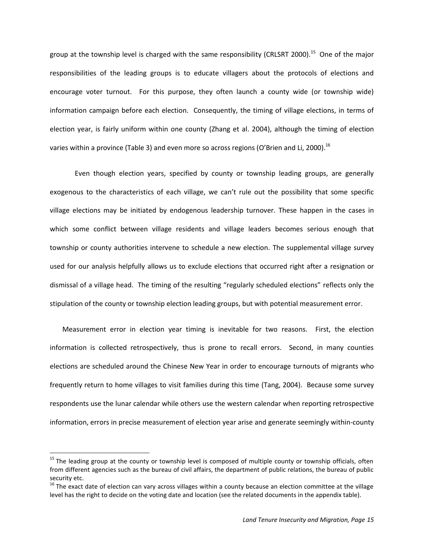group at the township level is charged with the same responsibility (CRLSRT 2000).<sup>15</sup> One of the major responsibilities of the leading groups is to educate villagers about the protocols of elections and encourage voter turnout. For this purpose, they often launch a county wide (or township wide) information campaign before each election. Consequently, the timing of village elections, in terms of election year, is fairly uniform within one county (Zhang et al. 2004), although the timing of election varies within a province (Table 3) and even more so across regions (O'Brien and Li, 2000). $^{16}$ 

Even though election years, specified by county or township leading groups, are generally exogenous to the characteristics of each village, we can't rule out the possibility that some specific village elections may be initiated by endogenous leadership turnover. These happen in the cases in which some conflict between village residents and village leaders becomes serious enough that township or county authorities intervene to schedule a new election. The supplemental village survey used for our analysis helpfully allows us to exclude elections that occurred right after a resignation or dismissal of a village head. The timing of the resulting "regularly scheduled elections" reflects only the stipulation of the county or township election leading groups, but with potential measurement error.

Measurement error in election year timing is inevitable for two reasons. First, the election information is collected retrospectively, thus is prone to recall errors. Second, in many counties elections are scheduled around the Chinese New Year in order to encourage turnouts of migrants who frequently return to home villages to visit families during this time (Tang, 2004). Because some survey respondents use the lunar calendar while others use the western calendar when reporting retrospective information, errors in precise measurement of election year arise and generate seemingly within-county

 $15$  The leading group at the county or township level is composed of multiple county or township officials, often from different agencies such as the bureau of civil affairs, the department of public relations, the bureau of public security etc.

 $16$  The exact date of election can vary across villages within a county because an election committee at the village level has the right to decide on the voting date and location (see the related documents in the appendix table).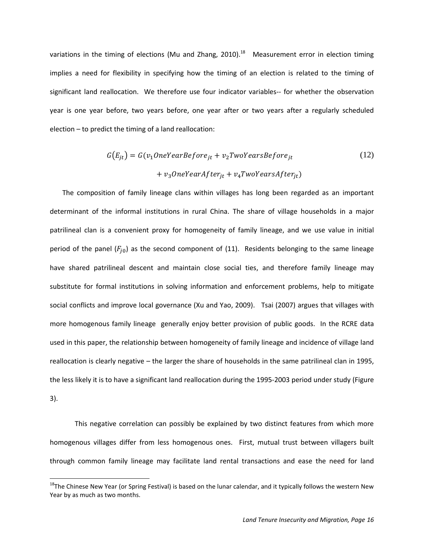variations in the timing of elections (Mu and Zhang, 2010).<sup>18</sup> Measurement error in election timing implies a need for flexibility in specifying how the timing of an election is related to the timing of significant land reallocation. We therefore use four indicator variables-- for whether the observation year is one year before, two years before, one year after or two years after a regularly scheduled election – to predict the timing of a land reallocation:

$$
G(E_{jt}) = G(v_1 OneYearBefore_{jt} + v_2TwoYearBefore_{jt}
$$
  
+  $v_3 OneYearAfter_{jt} + v_4 TwoYearAfter_{jt})$  (12)

The composition of family lineage clans within villages has long been regarded as an important determinant of the informal institutions in rural China. The share of village households in a major patrilineal clan is a convenient proxy for homogeneity of family lineage, and we use value in initial period of the panel  $(F_{i0})$  as the second component of (11). Residents belonging to the same lineage have shared patrilineal descent and maintain close social ties, and therefore family lineage may substitute for formal institutions in solving information and enforcement problems, help to mitigate social conflicts and improve local governance (Xu and Yao, 2009). Tsai (2007) argues that villages with more homogenous family lineage generally enjoy better provision of public goods. In the RCRE data used in this paper, the relationship between homogeneity of family lineage and incidence of village land reallocation is clearly negative – the larger the share of households in the same patrilineal clan in 1995, the less likely it is to have a significant land reallocation during the 1995-2003 period under study (Figure 3).

This negative correlation can possibly be explained by two distinct features from which more homogenous villages differ from less homogenous ones. First, mutual trust between villagers built through common family lineage may facilitate land rental transactions and ease the need for land

 $18$ The Chinese New Year (or Spring Festival) is based on the lunar calendar, and it typically follows the western New Year by as much as two months.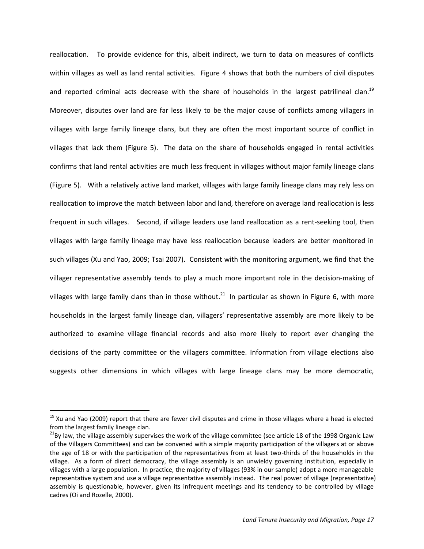reallocation. To provide evidence for this, albeit indirect, we turn to data on measures of conflicts within villages as well as land rental activities. Figure 4 shows that both the numbers of civil disputes and reported criminal acts decrease with the share of households in the largest patrilineal clan.<sup>19</sup> Moreover, disputes over land are far less likely to be the major cause of conflicts among villagers in villages with large family lineage clans, but they are often the most important source of conflict in villages that lack them (Figure 5). The data on the share of households engaged in rental activities confirms that land rental activities are much less frequent in villages without major family lineage clans (Figure 5). With a relatively active land market, villages with large family lineage clans may rely less on reallocation to improve the match between labor and land, therefore on average land reallocation is less frequent in such villages. Second, if village leaders use land reallocation as a rent-seeking tool, then villages with large family lineage may have less reallocation because leaders are better monitored in such villages (Xu and Yao, 2009; Tsai 2007). Consistent with the monitoring argument, we find that the villager representative assembly tends to play a much more important role in the decision-making of villages with large family clans than in those without.<sup>21</sup> In particular as shown in Figure 6, with more households in the largest family lineage clan, villagers' representative assembly are more likely to be authorized to examine village financial records and also more likely to report ever changing the decisions of the party committee or the villagers committee. Information from village elections also suggests other dimensions in which villages with large lineage clans may be more democratic,

 $\overline{\phantom{a}}$ 

 $19$  Xu and Yao (2009) report that there are fewer civil disputes and crime in those villages where a head is elected from the largest family lineage clan.

<sup>&</sup>lt;sup>21</sup>By law, the village assembly supervises the work of the village committee (see article 18 of the 1998 Organic Law of the Villagers Committees) and can be convened with a simple majority participation of the villagers at or above the age of 18 or with the participation of the representatives from at least two-thirds of the households in the village. As a form of direct democracy, the village assembly is an unwieldy governing institution, especially in villages with a large population. In practice, the majority of villages (93% in our sample) adopt a more manageable representative system and use a village representative assembly instead. The real power of village (representative) assembly is questionable, however, given its infrequent meetings and its tendency to be controlled by village cadres (Oi and Rozelle, 2000).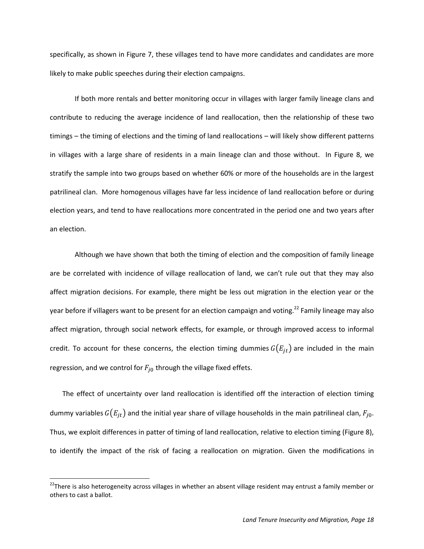specifically, as shown in Figure 7, these villages tend to have more candidates and candidates are more likely to make public speeches during their election campaigns.

If both more rentals and better monitoring occur in villages with larger family lineage clans and contribute to reducing the average incidence of land reallocation, then the relationship of these two timings – the timing of elections and the timing of land reallocations – will likely show different patterns in villages with a large share of residents in a main lineage clan and those without. In Figure 8, we stratify the sample into two groups based on whether 60% or more of the households are in the largest patrilineal clan. More homogenous villages have far less incidence of land reallocation before or during election years, and tend to have reallocations more concentrated in the period one and two years after an election.

Although we have shown that both the timing of election and the composition of family lineage are be correlated with incidence of village reallocation of land, we can't rule out that they may also affect migration decisions. For example, there might be less out migration in the election year or the year before if villagers want to be present for an election campaign and voting.<sup>22</sup> Family lineage may also affect migration, through social network effects, for example, or through improved access to informal credit. To account for these concerns, the election timing dummies  $G(E_{it})$  are included in the main regression, and we control for  $F_{j0}$  through the village fixed effets.

 The effect of uncertainty over land reallocation is identified off the interaction of election timing dummy variables  $G(E_{it})$  and the initial year share of village households in the main patrilineal clan,  $F_{i0}$ . Thus, we exploit differences in patter of timing of land reallocation, relative to election timing (Figure 8), to identify the impact of the risk of facing a reallocation on migration. Given the modifications in

<sup>&</sup>lt;sup>22</sup>There is also heterogeneity across villages in whether an absent village resident may entrust a family member or others to cast a ballot.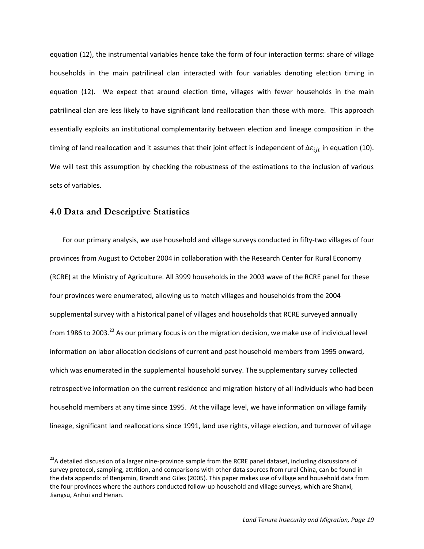equation (12), the instrumental variables hence take the form of four interaction terms: share of village households in the main patrilineal clan interacted with four variables denoting election timing in equation (12). We expect that around election time, villages with fewer households in the main patrilineal clan are less likely to have significant land reallocation than those with more. This approach essentially exploits an institutional complementarity between election and lineage composition in the timing of land reallocation and it assumes that their joint effect is independent of  $\Delta \varepsilon_{ijt}$  in equation (10). We will test this assumption by checking the robustness of the estimations to the inclusion of various sets of variables.

### **4.0 Data and Descriptive Statistics**

l

For our primary analysis, we use household and village surveys conducted in fifty-two villages of four provinces from August to October 2004 in collaboration with the Research Center for Rural Economy (RCRE) at the Ministry of Agriculture. All 3999 households in the 2003 wave of the RCRE panel for these four provinces were enumerated, allowing us to match villages and households from the 2004 supplemental survey with a historical panel of villages and households that RCRE surveyed annually from 1986 to 2003.<sup>23</sup> As our primary focus is on the migration decision, we make use of individual level information on labor allocation decisions of current and past household members from 1995 onward, which was enumerated in the supplemental household survey. The supplementary survey collected retrospective information on the current residence and migration history of all individuals who had been household members at any time since 1995. At the village level, we have information on village family lineage, significant land reallocations since 1991, land use rights, village election, and turnover of village

<sup>&</sup>lt;sup>23</sup>A detailed discussion of a larger nine-province sample from the RCRE panel dataset, including discussions of survey protocol, sampling, attrition, and comparisons with other data sources from rural China, can be found in the data appendix of Benjamin, Brandt and Giles (2005). This paper makes use of village and household data from the four provinces where the authors conducted follow-up household and village surveys, which are Shanxi, Jiangsu, Anhui and Henan.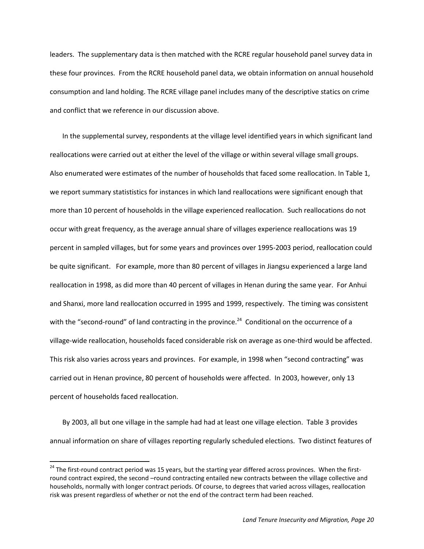leaders. The supplementary data is then matched with the RCRE regular household panel survey data in these four provinces. From the RCRE household panel data, we obtain information on annual household consumption and land holding. The RCRE village panel includes many of the descriptive statics on crime and conflict that we reference in our discussion above.

In the supplemental survey, respondents at the village level identified years in which significant land reallocations were carried out at either the level of the village or within several village small groups. Also enumerated were estimates of the number of households that faced some reallocation. In Table 1, we report summary statististics for instances in which land reallocations were significant enough that more than 10 percent of households in the village experienced reallocation. Such reallocations do not occur with great frequency, as the average annual share of villages experience reallocations was 19 percent in sampled villages, but for some years and provinces over 1995-2003 period, reallocation could be quite significant. For example, more than 80 percent of villages in Jiangsu experienced a large land reallocation in 1998, as did more than 40 percent of villages in Henan during the same year. For Anhui and Shanxi, more land reallocation occurred in 1995 and 1999, respectively. The timing was consistent with the "second-round" of land contracting in the province.<sup>24</sup> Conditional on the occurrence of a village-wide reallocation, households faced considerable risk on average as one-third would be affected. This risk also varies across years and provinces. For example, in 1998 when "second contracting" was carried out in Henan province, 80 percent of households were affected. In 2003, however, only 13 percent of households faced reallocation.

By 2003, all but one village in the sample had had at least one village election. Table 3 provides annual information on share of villages reporting regularly scheduled elections. Two distinct features of

 $\overline{a}$ 

<sup>&</sup>lt;sup>24</sup> The first-round contract period was 15 years, but the starting year differed across provinces. When the firstround contract expired, the second –round contracting entailed new contracts between the village collective and households, normally with longer contract periods. Of course, to degrees that varied across villages, reallocation risk was present regardless of whether or not the end of the contract term had been reached.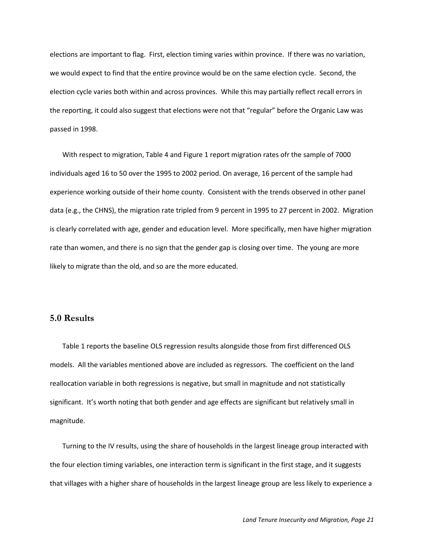elections are important to flag. First, election timing varies within province. If there was no variation, we would expect to find that the entire province would be on the same election cycle. Second, the election cycle varies both within and across provinces. While this may partially reflect recall errors in the reporting, it could also suggest that elections were not that "regular" before the Organic Law was passed in 1998.

With respect to migration, Table 4 and Figure 1 report migration rates ofr the sample of 7000 individuals aged 16 to 50 over the 1995 to 2002 period. On average, 16 percent of the sample had experience working outside of their home county. Consistent with the trends observed in other panel data (e.g., the CHNS), the migration rate tripled from 9 percent in 1995 to 27 percent in 2002. Migration is clearly correlated with age, gender and education level. More specifically, men have higher migration rate than women, and there is no sign that the gender gap is closing over time. The young are more likely to migrate than the old, and so are the more educated.

### **5.0 Results**

Table 1 reports the baseline OLS regression results alongside those from first differenced OLS models. All the variables mentioned above are included as regressors. The coefficient on the land reallocation variable in both regressions is negative, but small in magnitude and not statistically significant. It's worth noting that both gender and age effects are significant but relatively small in magnitude.

Turning to the IV results, using the share of households in the largest lineage group interacted with the four election timing variables, one interaction term is significant in the first stage, and it suggests that villages with a higher share of households in the largest lineage group are less likely to experience a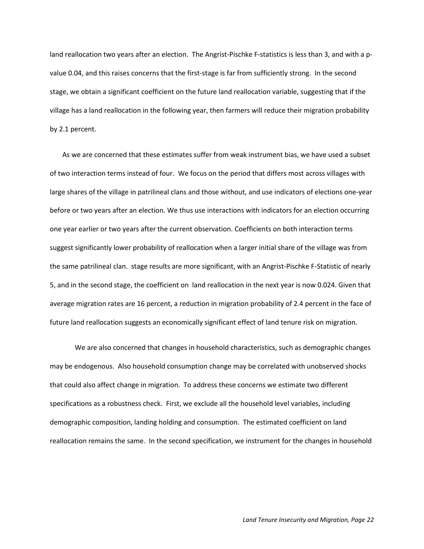land reallocation two years after an election. The Angrist-Pischke F-statistics is less than 3, and with a pvalue 0.04, and this raises concerns that the first-stage is far from sufficiently strong. In the second stage, we obtain a significant coefficient on the future land reallocation variable, suggesting that if the village has a land reallocation in the following year, then farmers will reduce their migration probability by 2.1 percent.

As we are concerned that these estimates suffer from weak instrument bias, we have used a subset of two interaction terms instead of four. We focus on the period that differs most across villages with large shares of the village in patrilineal clans and those without, and use indicators of elections one-year before or two years after an election. We thus use interactions with indicators for an election occurring one year earlier or two years after the current observation. Coefficients on both interaction terms suggest significantly lower probability of reallocation when a larger initial share of the village was from the same patrilineal clan. stage results are more significant, with an Angrist-Pischke F-Statistic of nearly 5, and in the second stage, the coefficient on land reallocation in the next year is now 0.024. Given that average migration rates are 16 percent, a reduction in migration probability of 2.4 percent in the face of future land reallocation suggests an economically significant effect of land tenure risk on migration.

We are also concerned that changes in household characteristics, such as demographic changes may be endogenous. Also household consumption change may be correlated with unobserved shocks that could also affect change in migration. To address these concerns we estimate two different specifications as a robustness check. First, we exclude all the household level variables, including demographic composition, landing holding and consumption. The estimated coefficient on land reallocation remains the same. In the second specification, we instrument for the changes in household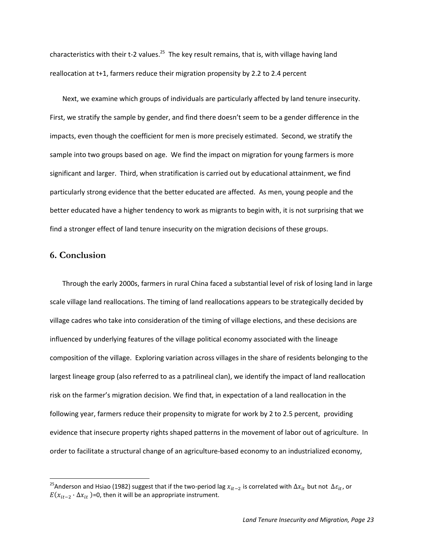characteristics with their t-2 values.<sup>25</sup> The key result remains, that is, with village having land reallocation at t+1, farmers reduce their migration propensity by 2.2 to 2.4 percent

Next, we examine which groups of individuals are particularly affected by land tenure insecurity. First, we stratify the sample by gender, and find there doesn't seem to be a gender difference in the impacts, even though the coefficient for men is more precisely estimated. Second, we stratify the sample into two groups based on age. We find the impact on migration for young farmers is more significant and larger. Third, when stratification is carried out by educational attainment, we find particularly strong evidence that the better educated are affected. As men, young people and the better educated have a higher tendency to work as migrants to begin with, it is not surprising that we find a stronger effect of land tenure insecurity on the migration decisions of these groups.

### **6. Conclusion**

l

Through the early 2000s, farmers in rural China faced a substantial level of risk of losing land in large scale village land reallocations. The timing of land reallocations appears to be strategically decided by village cadres who take into consideration of the timing of village elections, and these decisions are influenced by underlying features of the village political economy associated with the lineage composition of the village. Exploring variation across villages in the share of residents belonging to the largest lineage group (also referred to as a patrilineal clan), we identify the impact of land reallocation risk on the farmer's migration decision. We find that, in expectation of a land reallocation in the following year, farmers reduce their propensity to migrate for work by 2 to 2.5 percent, providing evidence that insecure property rights shaped patterns in the movement of labor out of agriculture. In order to facilitate a structural change of an agriculture-based economy to an industrialized economy,

<sup>&</sup>lt;sup>25</sup>Anderson and Hsiao (1982) suggest that if the two-period lag  $x_{it-2}$  is correlated with  $\Delta x_{it}$  but not  $\Delta \varepsilon_{it}$ , or  $E(x_{it-2} \cdot \Delta x_{it})$ =0, then it will be an appropriate instrument.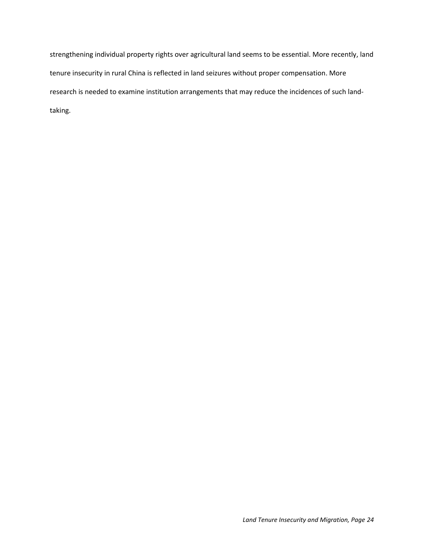strengthening individual property rights over agricultural land seems to be essential. More recently, land tenure insecurity in rural China is reflected in land seizures without proper compensation. More research is needed to examine institution arrangements that may reduce the incidences of such landtaking.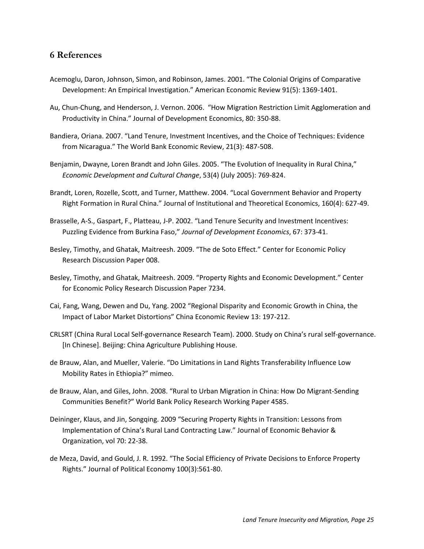## **6 References**

- Acemoglu, Daron, Johnson, Simon, and Robinson, James. 2001. "The Colonial Origins of Comparative Development: An Empirical Investigation." American Economic Review 91(5): 1369-1401.
- Au, Chun-Chung, and Henderson, J. Vernon. 2006. "How Migration Restriction Limit Agglomeration and Productivity in China." Journal of Development Economics, 80: 350-88.
- Bandiera, Oriana. 2007. "Land Tenure, Investment Incentives, and the Choice of Techniques: Evidence from Nicaragua." The World Bank Economic Review, 21(3): 487-508.
- Benjamin, Dwayne, Loren Brandt and John Giles. 2005. "The Evolution of Inequality in Rural China," *Economic Development and Cultural Change*, 53(4) (July 2005): 769-824.
- Brandt, Loren, Rozelle, Scott, and Turner, Matthew. 2004. "Local Government Behavior and Property Right Formation in Rural China." Journal of Institutional and Theoretical Economics, 160(4): 627-49.
- Brasselle, A-S., Gaspart, F., Platteau, J-P. 2002. "Land Tenure Security and Investment Incentives: Puzzling Evidence from Burkina Faso," *Journal of Development Economics*, 67: 373-41.
- Besley, Timothy, and Ghatak, Maitreesh. 2009. "The de Soto Effect." Center for Economic Policy Research Discussion Paper 008.
- Besley, Timothy, and Ghatak, Maitreesh. 2009. "Property Rights and Economic Development." Center for Economic Policy Research Discussion Paper 7234.
- Cai, Fang, Wang, Dewen and Du, Yang. 2002 "Regional Disparity and Economic Growth in China, the Impact of Labor Market Distortions" China Economic Review 13: 197-212.
- CRLSRT (China Rural Local Self-governance Research Team). 2000. Study on China's rural self-governance. [In Chinese]. Beijing: China Agriculture Publishing House.
- de Brauw, Alan, and Mueller, Valerie. "Do Limitations in Land Rights Transferability Influence Low Mobility Rates in Ethiopia?" mimeo.
- de Brauw, Alan, and Giles, John. 2008. "Rural to Urban Migration in China: How Do Migrant-Sending Communities Benefit?" World Bank Policy Research Working Paper 4585.
- Deininger, Klaus, and Jin, Songqing. 2009 "Securing Property Rights in Transition: Lessons from Implementation of China's Rural Land Contracting Law." Journal of Economic Behavior & Organization, vol 70: 22-38.
- de Meza, David, and Gould, J. R. 1992. "The Social Efficiency of Private Decisions to Enforce Property Rights." Journal of Political Economy 100(3):561-80.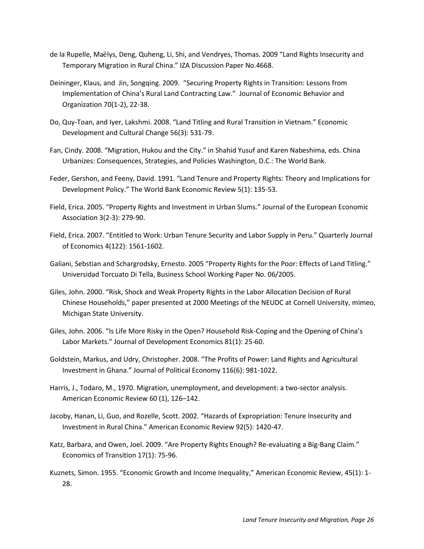- de la Rupelle, Maëlys, Deng, Quheng, Li, Shi, and Vendryes, Thomas. 2009 "Land Rights Insecurity and Temporary Migration in Rural China." IZA Discussion Paper No.4668.
- Deininger, Klaus, and Jin, Songqing. 2009. "Securing Property Rights in Transition: Lessons from Implementation of China's Rural Land Contracting Law." Journal of Economic Behavior and Organization 70(1-2), 22-38.
- Do, Quy-Toan, and Iyer, Lakshmi. 2008. "Land Titling and Rural Transition in Vietnam." Economic Development and Cultural Change 56(3): 531-79.
- Fan, Cindy. 2008. "Migration, Hukou and the City." in Shahid Yusuf and Karen Nabeshima, eds. China Urbanizes: Consequences, Strategies, and Policies Washington, D.C.: The World Bank.
- Feder, Gershon, and Feeny, David. 1991. "Land Tenure and Property Rights: Theory and Implications for Development Policy." The World Bank Economic Review 5(1): 135-53.
- Field, Erica. 2005. "Property Rights and Investment in Urban Slums." Journal of the European Economic Association 3(2-3): 279-90.
- Field, Erica. 2007. "Entitled to Work: Urban Tenure Security and Labor Supply in Peru." Quarterly Journal of Economics 4(122): 1561-1602.
- Galiani, Sebstian and Schargrodsky, Ernesto. 2005 "Property Rights for the Poor: Effects of Land Titling." Universidad Torcuato Di Tella, Business School Working Paper No. 06/2005.
- Giles, John. 2000. "Risk, Shock and Weak Property Rights in the Labor Allocation Decision of Rural Chinese Households," paper presented at 2000 Meetings of the NEUDC at Cornell University, mimeo, Michigan State University.
- Giles, John. 2006. "Is Life More Risky in the Open? Household Risk-Coping and the Opening of China's Labor Markets." Journal of Development Economics 81(1): 25-60.
- Goldstein, Markus, and Udry, Christopher. 2008. "The Profits of Power: Land Rights and Agricultural Investment in Ghana." Journal of Political Economy 116(6): 981-1022.
- Harris, J., Todaro, M., 1970. Migration, unemployment, and development: a two-sector analysis. American Economic Review 60 (1), 126–142.
- Jacoby, Hanan, Li, Guo, and Rozelle, Scott. 2002. "Hazards of Expropriation: Tenure Insecurity and Investment in Rural China." American Economic Review 92(5): 1420-47.
- Katz, Barbara, and Owen, Joel. 2009. "Are Property Rights Enough? Re-evaluating a Big-Bang Claim." Economics of Transition 17(1): 75-96.
- Kuznets, Simon. 1955. "Economic Growth and Income Inequality," American Economic Review, 45(1): 1- 28.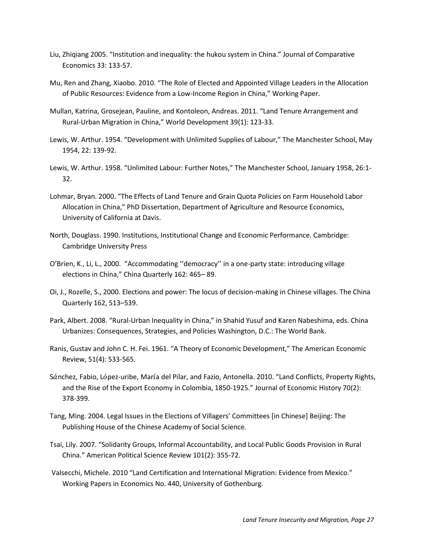- Liu, Zhiqiang 2005. "Institution and inequality: the hukou system in China." Journal of Comparative Economics 33: 133-57.
- Mu, Ren and Zhang, Xiaobo. 2010. "The Role of Elected and Appointed Village Leaders in the Allocation of Public Resources: Evidence from a Low-Income Region in China," Working Paper.
- Mullan, Katrina, Grosejean, Pauline, and Kontoleon, Andreas. 2011. "Land Tenure Arrangement and Rural-Urban Migration in China," World Development 39(1): 123-33.
- Lewis, W. Arthur. 1954. "Development with Unlimited Supplies of Labour," The Manchester School, May 1954, 22: 139-92.
- Lewis, W. Arthur. 1958. "Unlimited Labour: Further Notes," The Manchester School, January 1958, 26:1- 32.
- Lohmar, Bryan. 2000. "The Effects of Land Tenure and Grain Quota Policies on Farm Household Labor Allocation in China," PhD Dissertation, Department of Agriculture and Resource Economics, University of California at Davis.
- North, Douglass. 1990. Institutions, Institutional Change and Economic Performance. Cambridge: Cambridge University Press
- O'Brien, K., Li, L., 2000. "Accommodating ''democracy'' in a one-party state: introducing village elections in China," China Quarterly 162: 465– 89.
- Oi, J., Rozelle, S., 2000. Elections and power: The locus of decision-making in Chinese villages. The China Quarterly 162, 513–539.
- Park, Albert. 2008. "Rural-Urban Inequality in China," in Shahid Yusuf and Karen Nabeshima, eds. China Urbanizes: Consequences, Strategies, and Policies Washington, D.C.: The World Bank.
- Ranis, Gustav and John C. H. Fei. 1961. "A Theory of Economic Development," The American Economic Review, 51(4): 533-565.
- Sánchez, Fabio, López-uribe, María del Pilar, and Fazio, Antonella. 2010. "Land Conflicts, Property Rights, and the Rise of the Export Economy in Colombia, 1850-1925." Journal of Economic History 70(2): 378-399.
- Tang, Ming. 2004. Legal Issues in the Elections of Villagers' Committees [in Chinese] Beijing: The Publishing House of the Chinese Academy of Social Science.
- Tsai, Lily. 2007. "Solidarity Groups, Informal Accountability, and Local Public Goods Provision in Rural China." American Political Science Review 101(2): 355-72.
- Valsecchi, Michele. 2010 "Land Certification and International Migration: Evidence from Mexico." Working Papers in Economics No. 440, University of Gothenburg.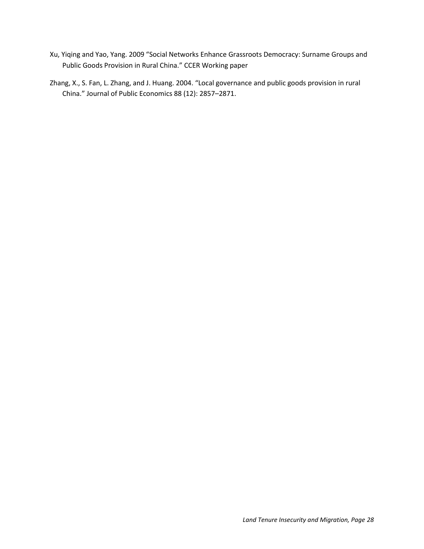- Xu, Yiqing and Yao, Yang. 2009 "Social Networks Enhance Grassroots Democracy: Surname Groups and Public Goods Provision in Rural China." CCER Working paper
- Zhang, X., S. Fan, L. Zhang, and J. Huang. 2004. "Local governance and public goods provision in rural China." Journal of Public Economics 88 (12): 2857–2871.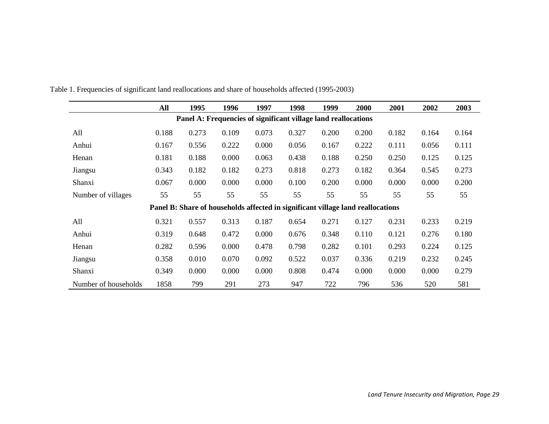|                                                                | All   | 1995                                                                            | 1996  | 1997  | 1998  | 1999  | 2000  | 2001  | 2002  | 2003  |  |  |
|----------------------------------------------------------------|-------|---------------------------------------------------------------------------------|-------|-------|-------|-------|-------|-------|-------|-------|--|--|
| Panel A: Frequencies of significant village land reallocations |       |                                                                                 |       |       |       |       |       |       |       |       |  |  |
| All                                                            | 0.188 | 0.273                                                                           | 0.109 | 0.073 | 0.327 | 0.200 | 0.200 | 0.182 | 0.164 | 0.164 |  |  |
| Anhui                                                          | 0.167 | 0.556                                                                           | 0.222 | 0.000 | 0.056 | 0.167 | 0.222 | 0.111 | 0.056 | 0.111 |  |  |
| Henan                                                          | 0.181 | 0.188                                                                           | 0.000 | 0.063 | 0.438 | 0.188 | 0.250 | 0.250 | 0.125 | 0.125 |  |  |
| Jiangsu                                                        | 0.343 | 0.182                                                                           | 0.182 | 0.273 | 0.818 | 0.273 | 0.182 | 0.364 | 0.545 | 0.273 |  |  |
| Shanxi                                                         | 0.067 | 0.000                                                                           | 0.000 | 0.000 | 0.100 | 0.200 | 0.000 | 0.000 | 0.000 | 0.200 |  |  |
| Number of villages                                             | 55    | 55                                                                              | 55    | 55    | 55    | 55    | 55    | 55    | 55    | 55    |  |  |
|                                                                |       | Panel B: Share of households affected in significant village land reallocations |       |       |       |       |       |       |       |       |  |  |
| All                                                            | 0.321 | 0.557                                                                           | 0.313 | 0.187 | 0.654 | 0.271 | 0.127 | 0.231 | 0.233 | 0.219 |  |  |
| Anhui                                                          | 0.319 | 0.648                                                                           | 0.472 | 0.000 | 0.676 | 0.348 | 0.110 | 0.121 | 0.276 | 0.180 |  |  |
| Henan                                                          | 0.282 | 0.596                                                                           | 0.000 | 0.478 | 0.798 | 0.282 | 0.101 | 0.293 | 0.224 | 0.125 |  |  |
| Jiangsu                                                        | 0.358 | 0.010                                                                           | 0.070 | 0.092 | 0.522 | 0.037 | 0.336 | 0.219 | 0.232 | 0.245 |  |  |
| Shanxi                                                         | 0.349 | 0.000                                                                           | 0.000 | 0.000 | 0.808 | 0.474 | 0.000 | 0.000 | 0.000 | 0.279 |  |  |
| Number of households                                           | 1858  | 799                                                                             | 291   | 273   | 947   | 722   | 796   | 536   | 520   | 581   |  |  |

Table 1. Frequencies of significant land reallocations and share of households affected (1995-2003)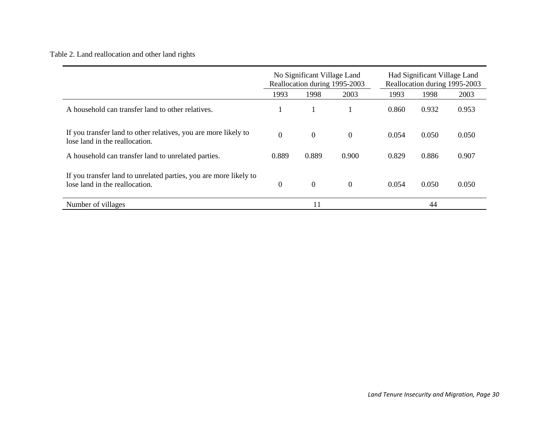# Table 2. Land reallocation and other land rights

|                                                                                                     |                | No Significant Village Land<br>Reallocation during 1995-2003 |                  | Had Significant Village Land<br>Reallocation during 1995-2003 |       |       |  |
|-----------------------------------------------------------------------------------------------------|----------------|--------------------------------------------------------------|------------------|---------------------------------------------------------------|-------|-------|--|
|                                                                                                     | 1993           | 1998                                                         | 2003             | 1993                                                          | 1998  | 2003  |  |
| A household can transfer land to other relatives.                                                   |                |                                                              |                  | 0.860                                                         | 0.932 | 0.953 |  |
| If you transfer land to other relatives, you are more likely to<br>lose land in the reallocation.   | $\overline{0}$ | $\boldsymbol{0}$                                             | $\overline{0}$   | 0.054                                                         | 0.050 | 0.050 |  |
| A household can transfer land to unrelated parties.                                                 | 0.889          | 0.889                                                        | 0.900            | 0.829                                                         | 0.886 | 0.907 |  |
| If you transfer land to unrelated parties, you are more likely to<br>lose land in the reallocation. | $\theta$       | $\boldsymbol{0}$                                             | $\boldsymbol{0}$ | 0.054                                                         | 0.050 | 0.050 |  |
| Number of villages                                                                                  |                | 11                                                           |                  |                                                               | 44    |       |  |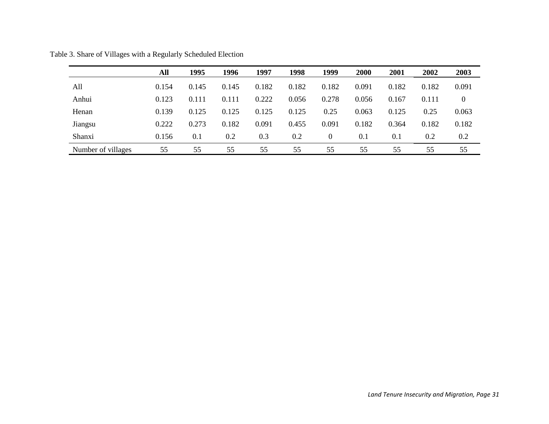|                    | All   | 1995  | 1996  | 1997  | 1998  | 1999           | 2000  | 2001  | 2002  | 2003  |
|--------------------|-------|-------|-------|-------|-------|----------------|-------|-------|-------|-------|
| All                | 0.154 | 0.145 | 0.145 | 0.182 | 0.182 | 0.182          | 0.091 | 0.182 | 0.182 | 0.091 |
| Anhui              | 0.123 | 0.111 | 0.111 | 0.222 | 0.056 | 0.278          | 0.056 | 0.167 | 0.111 | 0     |
| Henan              | 0.139 | 0.125 | 0.125 | 0.125 | 0.125 | 0.25           | 0.063 | 0.125 | 0.25  | 0.063 |
| Jiangsu            | 0.222 | 0.273 | 0.182 | 0.091 | 0.455 | 0.091          | 0.182 | 0.364 | 0.182 | 0.182 |
| Shanxi             | 0.156 | 0.1   | 0.2   | 0.3   | 0.2   | $\overline{0}$ | 0.1   | 0.1   | 0.2   | 0.2   |
| Number of villages | 55    | 55    | 55    | 55    | 55    | 55             | 55    | 55    | 55    | 55    |

Table 3. Share of Villages with a Regularly Scheduled Election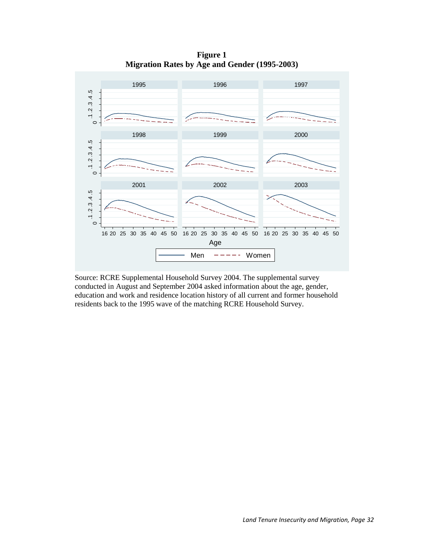**Figure 1 Migration Rates by Age and Gender (1995-2003)**



Source: RCRE Supplemental Household Survey 2004. The supplemental survey conducted in August and September 2004 asked information about the age, gender, education and work and residence location history of all current and former household residents back to the 1995 wave of the matching RCRE Household Survey.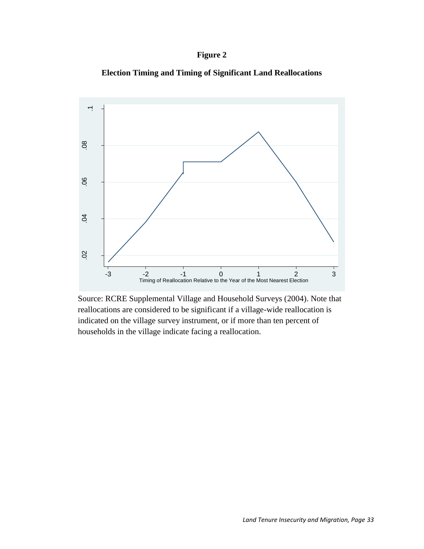

**Election Timing and Timing of Significant Land Reallocations**



Source: RCRE Supplemental Village and Household Surveys (2004). Note that reallocations are considered to be significant if a village-wide reallocation is indicated on the village survey instrument, or if more than ten percent of households in the village indicate facing a reallocation.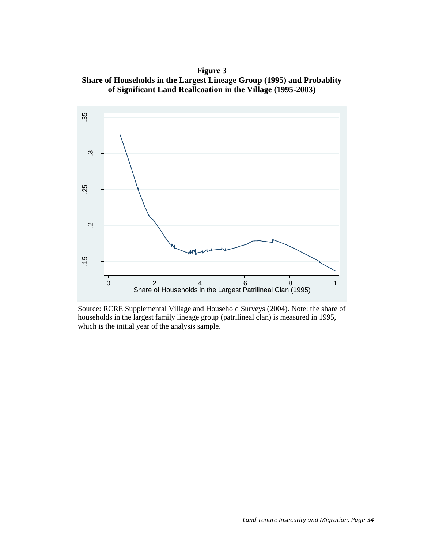**Figure 3 Share of Households in the Largest Lineage Group (1995) and Probablity of Significant Land Reallcoation in the Village (1995-2003)**



Source: RCRE Supplemental Village and Household Surveys (2004). Note: the share of households in the largest family lineage group (patrilineal clan) is measured in 1995, which is the initial year of the analysis sample.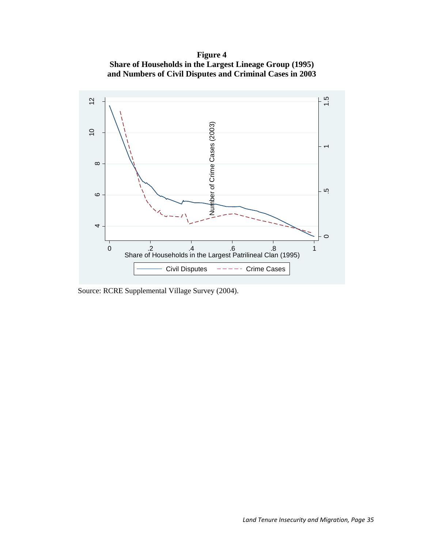**Figure 4 Share of Households in the Largest Lineage Group (1995) and Numbers of Civil Disputes and Criminal Cases in 2003** 



Source: RCRE Supplemental Village Survey (2004).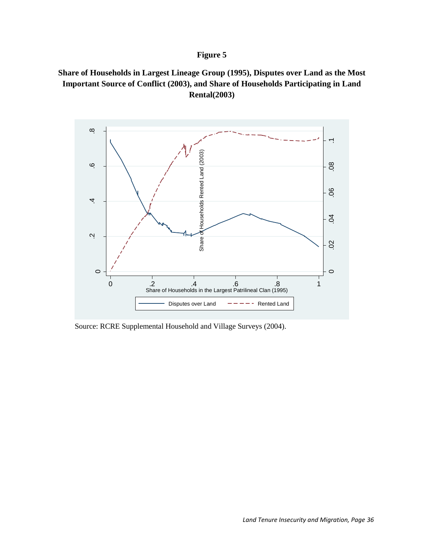# **Figure 5**





Source: RCRE Supplemental Household and Village Surveys (2004).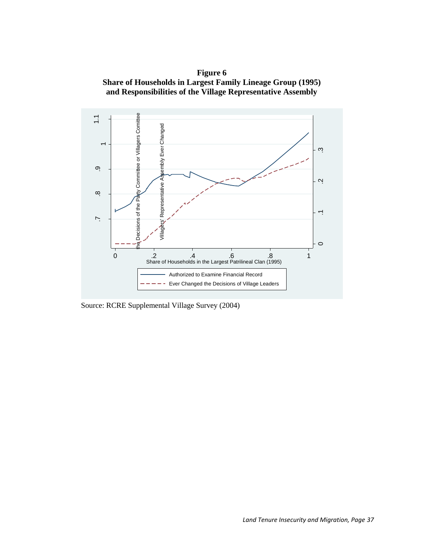



Source: RCRE Supplemental Village Survey (2004)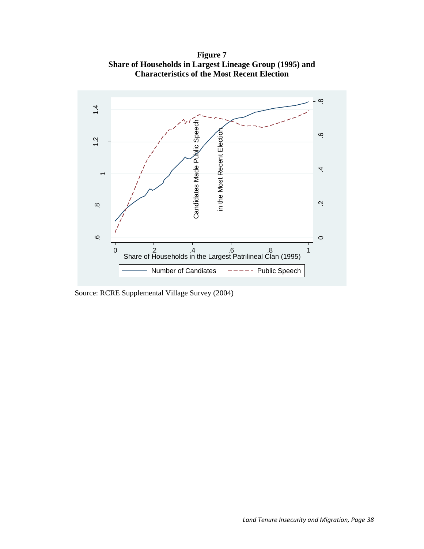**Figure 7 Share of Households in Largest Lineage Group (1995) and Characteristics of the Most Recent Election**



Source: RCRE Supplemental Village Survey (2004)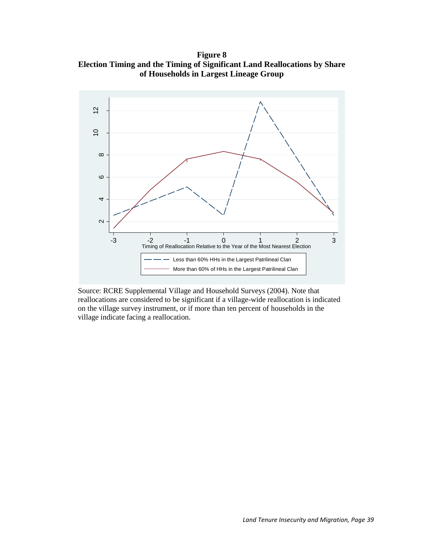**Figure 8 Election Timing and the Timing of Significant Land Reallocations by Share of Households in Largest Lineage Group**



Source: RCRE Supplemental Village and Household Surveys (2004). Note that reallocations are considered to be significant if a village-wide reallocation is indicated on the village survey instrument, or if more than ten percent of households in the village indicate facing a reallocation.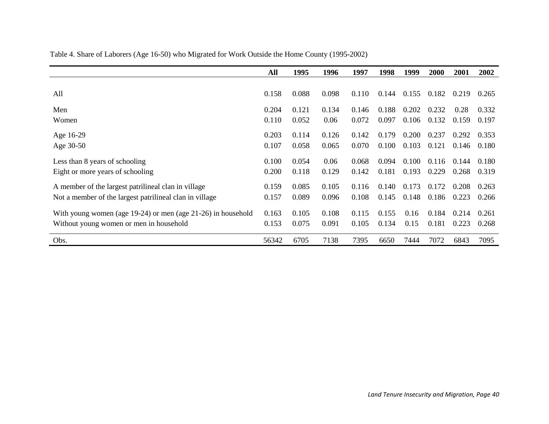|                                                                    | All   | 1995  | 1996  | 1997  | 1998  | 1999  | 2000  | 2001  | 2002  |
|--------------------------------------------------------------------|-------|-------|-------|-------|-------|-------|-------|-------|-------|
|                                                                    |       |       |       |       |       |       |       |       |       |
| All                                                                | 0.158 | 0.088 | 0.098 | 0.110 | 0.144 | 0.155 | 0.182 | 0.219 | 0.265 |
| Men                                                                | 0.204 | 0.121 | 0.134 | 0.146 | 0.188 | 0.202 | 0.232 | 0.28  | 0.332 |
| Women                                                              | 0.110 | 0.052 | 0.06  | 0.072 | 0.097 | 0.106 | 0.132 | 0.159 | 0.197 |
| Age 16-29                                                          | 0.203 | 0.114 | 0.126 | 0.142 | 0.179 | 0.200 | 0.237 | 0.292 | 0.353 |
| Age 30-50                                                          | 0.107 | 0.058 | 0.065 | 0.070 | 0.100 | 0.103 | 0.121 | 0.146 | 0.180 |
| Less than 8 years of schooling                                     | 0.100 | 0.054 | 0.06  | 0.068 | 0.094 | 0.100 | 0.116 | 0.144 | 0.180 |
| Eight or more years of schooling                                   | 0.200 | 0.118 | 0.129 | 0.142 | 0.181 | 0.193 | 0.229 | 0.268 | 0.319 |
| A member of the largest patrilineal clan in village                | 0.159 | 0.085 | 0.105 | 0.116 | 0.140 | 0.173 | 0.172 | 0.208 | 0.263 |
| Not a member of the largest patrilineal clan in village            | 0.157 | 0.089 | 0.096 | 0.108 | 0.145 | 0.148 | 0.186 | 0.223 | 0.266 |
| With young women (age $19-24$ ) or men (age $21-26$ ) in household | 0.163 | 0.105 | 0.108 | 0.115 | 0.155 | 0.16  | 0.184 | 0.214 | 0.261 |
| Without young women or men in household                            | 0.153 | 0.075 | 0.091 | 0.105 | 0.134 | 0.15  | 0.181 | 0.223 | 0.268 |
| Obs.                                                               | 56342 | 6705  | 7138  | 7395  | 6650  | 7444  | 7072  | 6843  | 7095  |

Table 4. Share of Laborers (Age 16-50) who Migrated for Work Outside the Home County (1995-2002)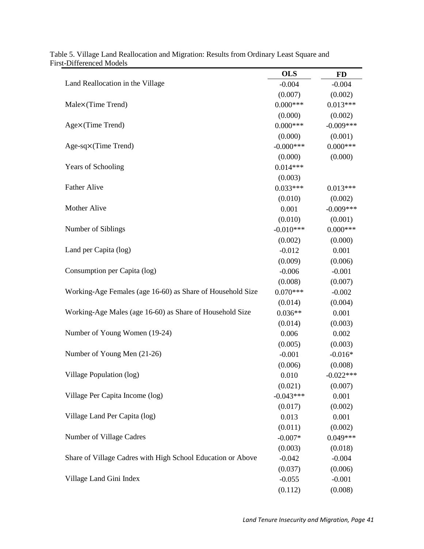|                                                             | <b>OLS</b>   | <b>FD</b>   |
|-------------------------------------------------------------|--------------|-------------|
| Land Reallocation in the Village                            | $-0.004$     | $-0.004$    |
|                                                             | (0.007)      | (0.002)     |
| Male×(Time Trend)                                           | $0.000***$   | $0.013***$  |
|                                                             | (0.000)      | (0.002)     |
| Age×(Time Trend)                                            | $0.000***$   | $-0.009***$ |
|                                                             | (0.000)      | (0.001)     |
| Age-sq×(Time Trend)                                         | $-0.000$ *** | $0.000***$  |
|                                                             | (0.000)      | (0.000)     |
| <b>Years of Schooling</b>                                   | $0.014***$   |             |
|                                                             | (0.003)      |             |
| <b>Father Alive</b>                                         | $0.033***$   | $0.013***$  |
|                                                             | (0.010)      | (0.002)     |
| Mother Alive                                                | 0.001        | $-0.009***$ |
|                                                             | (0.010)      | (0.001)     |
| Number of Siblings                                          | $-0.010***$  | $0.000***$  |
|                                                             | (0.002)      | (0.000)     |
| Land per Capita (log)                                       | $-0.012$     | 0.001       |
|                                                             | (0.009)      | (0.006)     |
| Consumption per Capita (log)                                | $-0.006$     | $-0.001$    |
|                                                             | (0.008)      | (0.007)     |
| Working-Age Females (age 16-60) as Share of Household Size  | $0.070***$   | $-0.002$    |
|                                                             | (0.014)      | (0.004)     |
| Working-Age Males (age 16-60) as Share of Household Size    | $0.036**$    | 0.001       |
|                                                             | (0.014)      | (0.003)     |
| Number of Young Women (19-24)                               | 0.006        | 0.002       |
|                                                             | (0.005)      | (0.003)     |
| Number of Young Men (21-26)                                 | $-0.001$     | $-0.016*$   |
|                                                             | (0.006)      | (0.008)     |
| Village Population (log)                                    | 0.010        | $-0.022***$ |
|                                                             | (0.021)      | (0.007)     |
| Village Per Capita Income (log)                             | $-0.043***$  | 0.001       |
|                                                             | (0.017)      | (0.002)     |
| Village Land Per Capita (log)                               | 0.013        | 0.001       |
|                                                             | (0.011)      | (0.002)     |
| Number of Village Cadres                                    | $-0.007*$    | $0.049***$  |
|                                                             | (0.003)      | (0.018)     |
| Share of Village Cadres with High School Education or Above | $-0.042$     | $-0.004$    |
|                                                             | (0.037)      | (0.006)     |
| Village Land Gini Index                                     | $-0.055$     | $-0.001$    |
|                                                             | (0.112)      | (0.008)     |

Table 5. Village Land Reallocation and Migration: Results from Ordinary Least Square and First-Differenced Models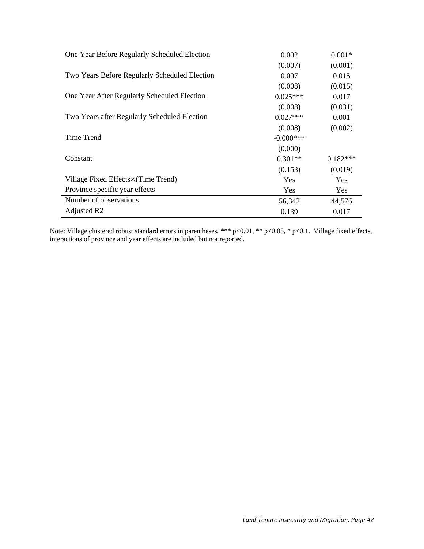| One Year Before Regularly Scheduled Election  | 0.002        | $0.001*$   |
|-----------------------------------------------|--------------|------------|
|                                               | (0.007)      | (0.001)    |
| Two Years Before Regularly Scheduled Election | 0.007        | 0.015      |
|                                               | (0.008)      | (0.015)    |
| One Year After Regularly Scheduled Election   | $0.025***$   | 0.017      |
|                                               | (0.008)      | (0.031)    |
| Two Years after Regularly Scheduled Election  | $0.027***$   | 0.001      |
|                                               | (0.008)      | (0.002)    |
| Time Trend                                    | $-0.000$ *** |            |
|                                               | (0.000)      |            |
| Constant                                      | $0.301**$    | $0.182***$ |
|                                               | (0.153)      | (0.019)    |
| Village Fixed Effects×(Time Trend)            | <b>Yes</b>   | <b>Yes</b> |
| Province specific year effects                | <b>Yes</b>   | Yes        |
| Number of observations                        | 56,342       | 44,576     |
| Adjusted R2                                   | 0.139        | 0.017      |

Note: Village clustered robust standard errors in parentheses. \*\*\* p<0.01, \*\* p<0.05, \* p<0.1. Village fixed effects, interactions of province and year effects are included but not reported.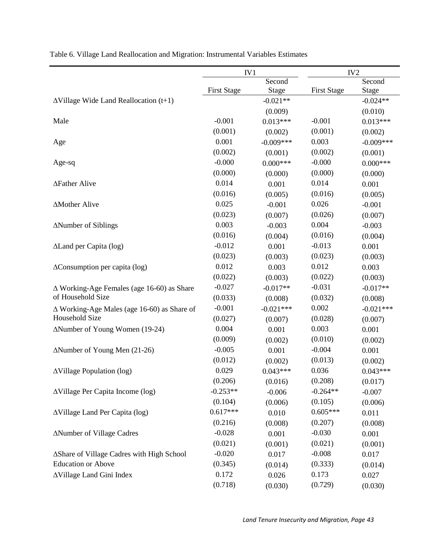|                                                   | IV1                |             |                    | IV <sub>2</sub> |
|---------------------------------------------------|--------------------|-------------|--------------------|-----------------|
|                                                   |                    | Second      |                    | Second          |
|                                                   | <b>First Stage</b> | Stage       | <b>First Stage</b> | <b>Stage</b>    |
| $\Delta$ Village Wide Land Reallocation (t+1)     |                    | $-0.021**$  |                    | $-0.024**$      |
|                                                   |                    | (0.009)     |                    | (0.010)         |
| Male                                              | $-0.001$           | $0.013***$  | $-0.001$           | $0.013***$      |
|                                                   | (0.001)            | (0.002)     | (0.001)            | (0.002)         |
| Age                                               | 0.001              | $-0.009***$ | 0.003              | $-0.009***$     |
|                                                   | (0.002)            | (0.001)     | (0.002)            | (0.001)         |
| Age-sq                                            | $-0.000$           | $0.000***$  | $-0.000$           | $0.000***$      |
|                                                   | (0.000)            | (0.000)     | (0.000)            | (0.000)         |
| ∆Father Alive                                     | 0.014              | 0.001       | 0.014              | 0.001           |
|                                                   | (0.016)            | (0.005)     | (0.016)            | (0.005)         |
| ∆Mother Alive                                     | 0.025              | $-0.001$    | 0.026              | $-0.001$        |
|                                                   | (0.023)            | (0.007)     | (0.026)            | (0.007)         |
| ∆Number of Siblings                               | 0.003              | $-0.003$    | 0.004              | $-0.003$        |
|                                                   | (0.016)            | (0.004)     | (0.016)            | (0.004)         |
| ALand per Capita (log)                            | $-0.012$           | 0.001       | $-0.013$           | 0.001           |
|                                                   | (0.023)            | (0.003)     | (0.023)            | (0.003)         |
| $\Delta$ Consumption per capita (log)             | 0.012              | 0.003       | 0.012              | 0.003           |
|                                                   | (0.022)            | (0.003)     | (0.022)            | (0.003)         |
| $\Delta$ Working-Age Females (age 16-60) as Share | $-0.027$           | $-0.017**$  | $-0.031$           | $-0.017**$      |
| of Household Size                                 | (0.033)            | (0.008)     | (0.032)            | (0.008)         |
| ∆ Working-Age Males (age 16-60) as Share of       | $-0.001$           | $-0.021***$ | 0.002              | $-0.021***$     |
| Household Size                                    | (0.027)            | (0.007)     | (0.028)            | (0.007)         |
| ∆Number of Young Women (19-24)                    | 0.004              | 0.001       | 0.003              | 0.001           |
|                                                   | (0.009)            | (0.002)     | (0.010)            | (0.002)         |
| $\Delta$ Number of Young Men (21-26)              | $-0.005$           | 0.001       | $-0.004$           | 0.001           |
|                                                   | (0.012)            | (0.002)     | (0.013)            | (0.002)         |
| <b>AVillage Population (log)</b>                  | 0.029              | $0.043***$  | 0.036              | $0.043***$      |
|                                                   | (0.206)            | (0.016)     | (0.208)            | (0.017)         |
| $\Delta$ Village Per Capita Income (log)          | $-0.253**$         | $-0.006$    | $-0.264**$         | $-0.007$        |
|                                                   | (0.104)            | (0.006)     | (0.105)            | (0.006)         |
| ∆Village Land Per Capita (log)                    | $0.617***$         | 0.010       | $0.605***$         | 0.011           |
|                                                   | (0.216)            | (0.008)     | (0.207)            | (0.008)         |
| ∆Number of Village Cadres                         | $-0.028$           | 0.001       | $-0.030$           | 0.001           |
|                                                   | (0.021)            | (0.001)     | (0.021)            | (0.001)         |
| ∆Share of Village Cadres with High School         | $-0.020$           | 0.017       | $-0.008$           | 0.017           |
| <b>Education or Above</b>                         | (0.345)            | (0.014)     | (0.333)            | (0.014)         |
| <b>AVillage Land Gini Index</b>                   | 0.172              | 0.026       | 0.173              | 0.027           |
|                                                   | (0.718)            | (0.030)     | (0.729)            | (0.030)         |

Table 6. Village Land Reallocation and Migration: Instrumental Variables Estimates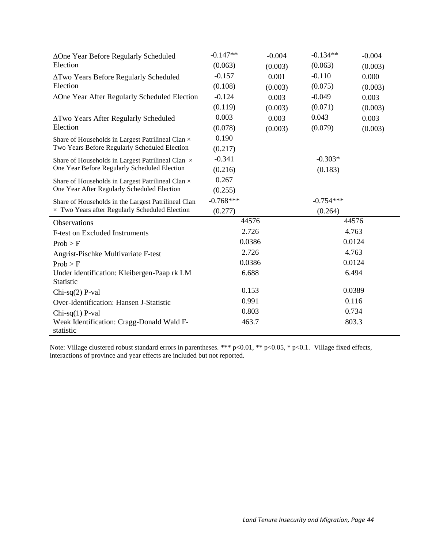| ∆One Year Before Regularly Scheduled                     | $-0.147**$  | $-0.004$ | $-0.134**$  | $-0.004$ |  |
|----------------------------------------------------------|-------------|----------|-------------|----------|--|
| Election                                                 | (0.063)     | (0.003)  | (0.063)     | (0.003)  |  |
| <b>ATwo Years Before Regularly Scheduled</b>             | $-0.157$    | 0.001    | $-0.110$    | 0.000    |  |
| Election                                                 | (0.108)     | (0.003)  | (0.075)     | (0.003)  |  |
| ∆One Year After Regularly Scheduled Election             | $-0.124$    | 0.003    | $-0.049$    | 0.003    |  |
|                                                          | (0.119)     | (0.003)  | (0.071)     | (0.003)  |  |
| <b>ATwo Years After Regularly Scheduled</b>              | 0.003       | 0.003    | 0.043       | 0.003    |  |
| Election                                                 | (0.078)     | (0.003)  | (0.079)     | (0.003)  |  |
| Share of Households in Largest Patrilineal Clan $\times$ | 0.190       |          |             |          |  |
| Two Years Before Regularly Scheduled Election            | (0.217)     |          |             |          |  |
| Share of Households in Largest Patrilineal Clan $\times$ | $-0.341$    |          | $-0.303*$   |          |  |
| One Year Before Regularly Scheduled Election             | (0.216)     |          | (0.183)     |          |  |
| Share of Households in Largest Patrilineal Clan ×        | 0.267       |          |             |          |  |
| One Year After Regularly Scheduled Election              | (0.255)     |          |             |          |  |
| Share of Households in the Largest Patrilineal Clan      | $-0.768***$ |          | $-0.754***$ |          |  |
| $\times$ Two Years after Regularly Scheduled Election    | (0.277)     |          | (0.264)     |          |  |
| Observations                                             | 44576       |          |             | 44576    |  |
| <b>F-test on Excluded Instruments</b>                    | 2.726       |          |             | 4.763    |  |
| Prob > F                                                 | 0.0386      |          |             | 0.0124   |  |
| Angrist-Pischke Multivariate F-test                      | 2.726       |          |             | 4.763    |  |
| Prob > F                                                 | 0.0386      |          |             | 0.0124   |  |
| Under identification: Kleibergen-Paap rk LM              | 6.688       |          |             | 6.494    |  |
| Statistic                                                |             |          |             |          |  |
| $Chi-sq(2)$ P-val                                        | 0.153       |          |             | 0.0389   |  |
| Over-Identification: Hansen J-Statistic                  | 0.991       |          |             | 0.116    |  |
| $Chi-sq(1)$ P-val                                        | 0.803       |          | 0.734       |          |  |
| Weak Identification: Cragg-Donald Wald F-                | 463.7       |          |             | 803.3    |  |
| statistic                                                |             |          |             |          |  |

Note: Village clustered robust standard errors in parentheses. \*\*\*  $p<0.01$ , \*\*  $p<0.05$ , \*  $p<0.1$ . Village fixed effects, interactions of province and year effects are included but not reported.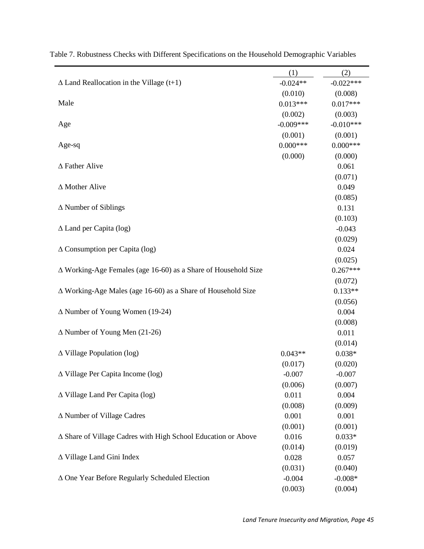|                                                                     | (1)         | (2)         |
|---------------------------------------------------------------------|-------------|-------------|
| $\Delta$ Land Reallocation in the Village (t+1)                     | $-0.024**$  | $-0.022***$ |
|                                                                     | (0.010)     | (0.008)     |
| Male                                                                | $0.013***$  | $0.017***$  |
|                                                                     | (0.002)     | (0.003)     |
| Age                                                                 | $-0.009***$ | $-0.010***$ |
|                                                                     | (0.001)     | (0.001)     |
| Age-sq                                                              | $0.000***$  | $0.000***$  |
|                                                                     | (0.000)     | (0.000)     |
| $\Delta$ Father Alive                                               |             | 0.061       |
|                                                                     |             | (0.071)     |
| $\Delta$ Mother Alive                                               |             | 0.049       |
|                                                                     |             | (0.085)     |
| $\Delta$ Number of Siblings                                         |             | 0.131       |
|                                                                     |             | (0.103)     |
| $\Delta$ Land per Capita (log)                                      |             | $-0.043$    |
|                                                                     |             | (0.029)     |
| $\Delta$ Consumption per Capita (log)                               |             | 0.024       |
|                                                                     |             | (0.025)     |
| ∆ Working-Age Females (age 16-60) as a Share of Household Size      |             | $0.267***$  |
|                                                                     |             | (0.072)     |
| $\Delta$ Working-Age Males (age 16-60) as a Share of Household Size |             | $0.133**$   |
|                                                                     |             | (0.056)     |
| $\Delta$ Number of Young Women (19-24)                              |             | 0.004       |
|                                                                     |             | (0.008)     |
| $\Delta$ Number of Young Men (21-26)                                |             | 0.011       |
|                                                                     |             | (0.014)     |
| $\Delta$ Village Population (log)                                   | $0.043**$   | $0.038*$    |
|                                                                     | (0.017)     | (0.020)     |
| ∆ Village Per Capita Income (log)                                   | $-0.007$    | $-0.007$    |
|                                                                     | (0.006)     | (0.007)     |
| $\Delta$ Village Land Per Capita (log)                              | 0.011       | 0.004       |
|                                                                     | (0.008)     | (0.009)     |
| ∆ Number of Village Cadres                                          | 0.001       | 0.001       |
|                                                                     | (0.001)     | (0.001)     |
| ∆ Share of Village Cadres with High School Education or Above       | 0.016       | $0.033*$    |
|                                                                     | (0.014)     | (0.019)     |
| ∆ Village Land Gini Index                                           | 0.028       | 0.057       |
|                                                                     | (0.031)     | (0.040)     |
| ∆ One Year Before Regularly Scheduled Election                      | $-0.004$    | $-0.008*$   |
|                                                                     | (0.003)     | (0.004)     |

Table 7. Robustness Checks with Different Specifications on the Household Demographic Variables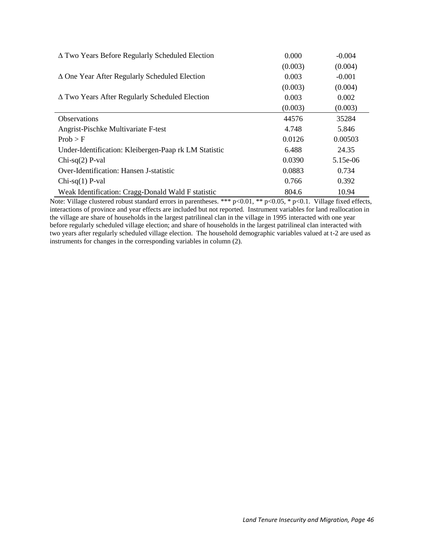| $\Delta$ Two Years Before Regularly Scheduled Election | 0.000   | $-0.004$   |
|--------------------------------------------------------|---------|------------|
|                                                        | (0.003) | (0.004)    |
| $\Delta$ One Year After Regularly Scheduled Election   | 0.003   | $-0.001$   |
|                                                        | (0.003) | (0.004)    |
| $\Delta$ Two Years After Regularly Scheduled Election  | 0.003   | 0.002      |
|                                                        | (0.003) | (0.003)    |
| <b>Observations</b>                                    | 44576   | 35284      |
| Angrist-Pischke Multivariate F-test                    | 4.748   | 5.846      |
| Prob > F                                               | 0.0126  | 0.00503    |
| Under-Identification: Kleibergen-Paap rk LM Statistic  | 6.488   | 24.35      |
| $Chi-sq(2)$ P-val                                      | 0.0390  | $5.15e-06$ |
| Over-Identification: Hansen J-statistic                | 0.0883  | 0.734      |
| $Chi-sq(1)$ P-val                                      | 0.766   | 0.392      |
| Weak Identification: Cragg-Donald Wald F statistic     | 804.6   | 10.94      |

Note: Village clustered robust standard errors in parentheses. \*\*\*  $p<0.01$ , \*\*  $p<0.05$ , \*  $p<0.1$ . Village fixed effects, interactions of province and year effects are included but not reported. Instrument variables for land reallocation in the village are share of households in the largest patrilineal clan in the village in 1995 interacted with one year before regularly scheduled village election; and share of households in the largest patrilineal clan interacted with two years after regularly scheduled village election. The household demographic variables valued at t-2 are used as instruments for changes in the corresponding variables in column (2).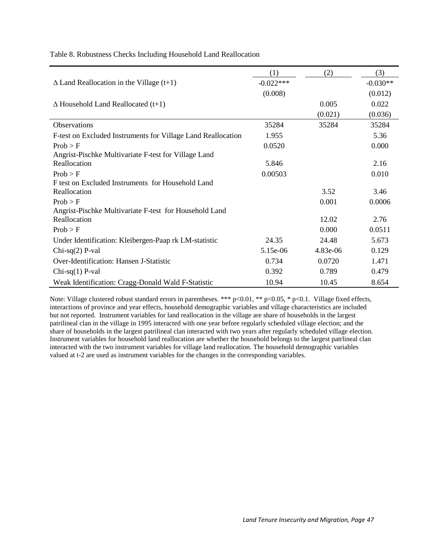|                                                              | (1)         | (2)      | (3)        |
|--------------------------------------------------------------|-------------|----------|------------|
| $\Delta$ Land Reallocation in the Village (t+1)              | $-0.022***$ |          | $-0.030**$ |
|                                                              | (0.008)     |          | (0.012)    |
| $\Delta$ Household Land Reallocated (t+1)                    |             | 0.005    | 0.022      |
|                                                              |             | (0.021)  | (0.036)    |
| Observations                                                 | 35284       | 35284    | 35284      |
| F-test on Excluded Instruments for Village Land Reallocation | 1.955       |          | 5.36       |
| Prob > F                                                     | 0.0520      |          | 0.000      |
| Angrist-Pischke Multivariate F-test for Village Land         |             |          |            |
| Reallocation                                                 | 5.846       |          | 2.16       |
| Prob > F                                                     | 0.00503     |          | 0.010      |
| F test on Excluded Instruments for Household Land            |             |          |            |
| Reallocation                                                 |             | 3.52     | 3.46       |
| Prob > F                                                     |             | 0.001    | 0.0006     |
| Angrist-Pischke Multivariate F-test for Household Land       |             |          |            |
| Reallocation                                                 |             | 12.02    | 2.76       |
| Prob > F                                                     |             | 0.000    | 0.0511     |
| Under Identification: Kleibergen-Paap rk LM-statistic        | 24.35       | 24.48    | 5.673      |
| Chi-sq $(2)$ P-val                                           | 5.15e-06    | 4.83e-06 | 0.129      |
| Over-Identification: Hansen J-Statistic                      | 0.734       | 0.0720   | 1.471      |
| Chi-sq $(1)$ P-val                                           | 0.392       | 0.789    | 0.479      |
| Weak Identification: Cragg-Donald Wald F-Statistic           | 10.94       | 10.45    | 8.654      |

Table 8. Robustness Checks Including Household Land Reallocation

Note: Village clustered robust standard errors in parentheses. \*\*\* p<0.01, \*\* p<0.05, \* p<0.1. Village fixed effects, interactions of province and year effects, household demographic variables and village characteristics are included but not reported. Instrument variables for land reallocation in the village are share of households in the largest patrilineal clan in the village in 1995 interacted with one year before regularly scheduled village election; and the share of households in the largest patrilineal clan interacted with two years after regularly scheduled village election. Instrument variables for household land reallocation are whether the household belongs to the largest patrlineal clan interacted with the two instrument variables for village land reallocation. The household demographic variables valued at t-2 are used as instrument variables for the changes in the corresponding variables.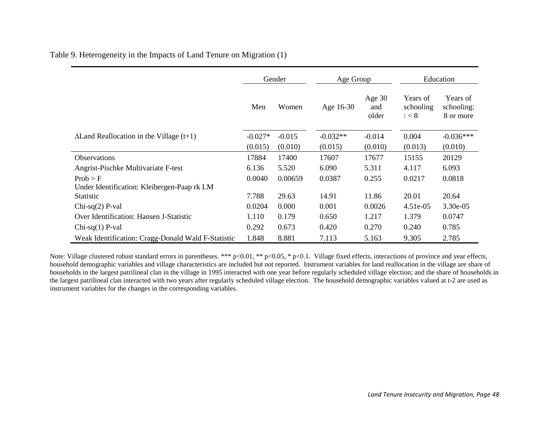|                                                    | Gender    |          | Age Group  |                          | Education                            |                                     |
|----------------------------------------------------|-----------|----------|------------|--------------------------|--------------------------------------|-------------------------------------|
|                                                    | Men       | Women    | Age 16-30  | Age $30$<br>and<br>older | Years of<br>schooling<br>$:$ $<$ $8$ | Years of<br>schooling:<br>8 or more |
| $\Delta$ Land Reallocation in the Village (t+1)    | $-0.027*$ | $-0.015$ | $-0.032**$ | $-0.014$                 | 0.004                                | $-0.036***$                         |
|                                                    | (0.015)   | (0.010)  | (0.015)    | (0.010)                  | (0.013)                              | (0.010)                             |
| <b>Observations</b>                                | 17884     | 17400    | 17607      | 17677                    | 15155                                | 20129                               |
| Angrist-Pischke Multivariate F-test                | 6.136     | 5.520    | 6.090      | 5.311                    | 4.117                                | 6.093                               |
| Prob > F                                           | 0.0040    | 0.00659  | 0.0387     | 0.255                    | 0.0217                               | 0.0818                              |
| Under Identification: Kleibergen-Paap rk LM        |           |          |            |                          |                                      |                                     |
| <b>Statistic</b>                                   | 7.788     | 29.63    | 14.91      | 11.86                    | 20.01                                | 20.64                               |
| Chi-sq $(2)$ P-val                                 | 0.0204    | 0.000    | 0.001      | 0.0026                   | $4.51e-05$                           | 3.30e-05                            |
| Over Identification: Hansen J-Statistic            | 1.110     | 0.179    | 0.650      | 1.217                    | 1.379                                | 0.0747                              |
| $Chi-sq(1)$ P-val                                  | 0.292     | 0.673    | 0.420      | 0.270                    | 0.240                                | 0.785                               |
| Weak Identification: Cragg-Donald Wald F-Statistic | 1.848     | 8.881    | 7.113      | 5.163                    | 9.305                                | 2.785                               |

Table 9. Heterogeneity in the Impacts of Land Tenure on Migration (1)

Note: Village clustered robust standard errors in parentheses. \*\*\* p<0.01, \*\* p<0.05, \* p<0.1. Village fixed effects, interactions of province and year effects, household demographic variables and village characteristics are included but not reported. Instrument variables for land reallocation in the village are share of households in the largest patrilineal clan in the village in 1995 interacted with one year before regularly scheduled village election; and the share of households in the largest patrilineal clan interacted with two years after regularly scheduled village election. The household demographic variables valued at t-2 are used as instrument variables for the changes in the corresponding variables.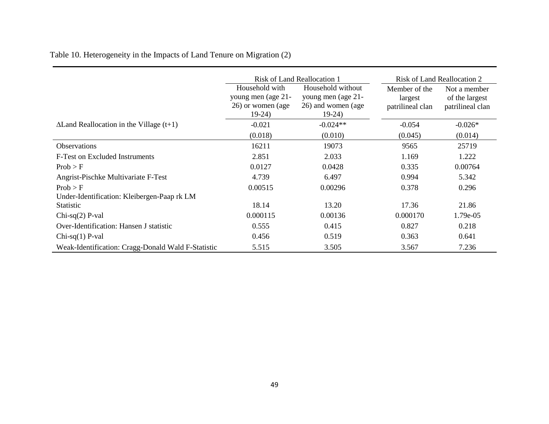Table 10. Heterogeneity in the Impacts of Land Tenure on Migration (2)

|                                                    | <b>Risk of Land Reallocation 1</b>                                   |                                                                          | Risk of Land Reallocation 2                  |                                                    |
|----------------------------------------------------|----------------------------------------------------------------------|--------------------------------------------------------------------------|----------------------------------------------|----------------------------------------------------|
|                                                    | Household with<br>young men (age 21-<br>26) or women (age<br>$19-24$ | Household without<br>young men (age 21-<br>26) and women (age<br>$19-24$ | Member of the<br>largest<br>patrilineal clan | Not a member<br>of the largest<br>patrilineal clan |
| $\Delta$ Land Reallocation in the Village (t+1)    | $-0.021$                                                             | $-0.024**$                                                               | $-0.054$                                     | $-0.026*$                                          |
|                                                    | (0.018)                                                              | (0.010)                                                                  | (0.045)                                      | (0.014)                                            |
| Observations                                       | 16211                                                                | 19073                                                                    | 9565                                         | 25719                                              |
| F-Test on Excluded Instruments                     | 2.851                                                                | 2.033                                                                    | 1.169                                        | 1.222                                              |
| Prob > F                                           | 0.0127                                                               | 0.0428                                                                   | 0.335                                        | 0.00764                                            |
| Angrist-Pischke Multivariate F-Test                | 4.739                                                                | 6.497                                                                    | 0.994                                        | 5.342                                              |
| Prob > F                                           | 0.00515                                                              | 0.00296                                                                  | 0.378                                        | 0.296                                              |
| Under-Identification: Kleibergen-Paap rk LM        |                                                                      |                                                                          |                                              |                                                    |
| <b>Statistic</b>                                   | 18.14                                                                | 13.20                                                                    | 17.36                                        | 21.86                                              |
| $Chi-sq(2)$ P-val                                  | 0.000115                                                             | 0.00136                                                                  | 0.000170                                     | 1.79e-05                                           |
| Over-Identification: Hansen J statistic            | 0.555                                                                | 0.415                                                                    | 0.827                                        | 0.218                                              |
| $Chi-sq(1)$ P-val                                  | 0.456                                                                | 0.519                                                                    | 0.363                                        | 0.641                                              |
| Weak-Identification: Cragg-Donald Wald F-Statistic | 5.515                                                                | 3.505                                                                    | 3.567                                        | 7.236                                              |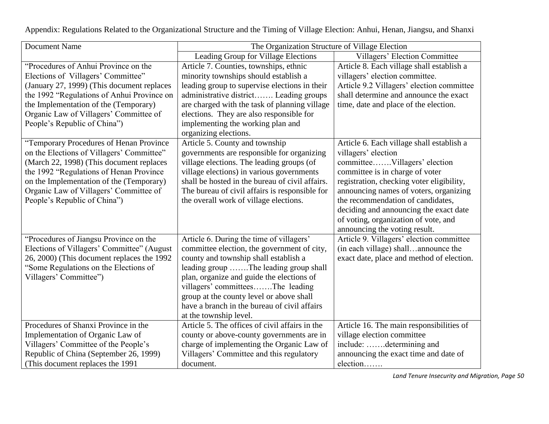| <b>Document Name</b>                                                                                                                                                                                                                                                                              | The Organization Structure of Village Election                                                                                                                                                                                                                                                                                                                                   |                                                                                                                                                                                                                                                                                                                                                                                    |  |  |
|---------------------------------------------------------------------------------------------------------------------------------------------------------------------------------------------------------------------------------------------------------------------------------------------------|----------------------------------------------------------------------------------------------------------------------------------------------------------------------------------------------------------------------------------------------------------------------------------------------------------------------------------------------------------------------------------|------------------------------------------------------------------------------------------------------------------------------------------------------------------------------------------------------------------------------------------------------------------------------------------------------------------------------------------------------------------------------------|--|--|
|                                                                                                                                                                                                                                                                                                   | Leading Group for Village Elections                                                                                                                                                                                                                                                                                                                                              | Villagers' Election Committee                                                                                                                                                                                                                                                                                                                                                      |  |  |
| "Procedures of Anhui Province on the<br>Elections of Villagers' Committee"<br>(January 27, 1999) (This document replaces<br>the 1992 "Regulations of Anhui Province on<br>the Implementation of the (Temporary)<br>Organic Law of Villagers' Committee of<br>People's Republic of China")         | Article 7. Counties, townships, ethnic<br>minority townships should establish a<br>leading group to supervise elections in their<br>administrative district Leading groups<br>are charged with the task of planning village<br>elections. They are also responsible for<br>implementing the working plan and<br>organizing elections.                                            | Article 8. Each village shall establish a<br>villagers' election committee.<br>Article 9.2 Villagers' election committee<br>shall determine and announce the exact<br>time, date and place of the election.                                                                                                                                                                        |  |  |
| "Temporary Procedures of Henan Province<br>on the Elections of Villagers' Committee"<br>(March 22, 1998) (This document replaces<br>the 1992 "Regulations of Henan Province<br>on the Implementation of the (Temporary)<br>Organic Law of Villagers' Committee of<br>People's Republic of China") | Article 5. County and township<br>governments are responsible for organizing<br>village elections. The leading groups (of<br>village elections) in various governments<br>shall be hosted in the bureau of civil affairs.<br>The bureau of civil affairs is responsible for<br>the overall work of village elections.                                                            | Article 6. Each village shall establish a<br>villagers' election<br>committeeVillagers' election<br>committee is in charge of voter<br>registration, checking voter eligibility,<br>announcing names of voters, organizing<br>the recommendation of candidates,<br>deciding and announcing the exact date<br>of voting, organization of vote, and<br>announcing the voting result. |  |  |
| "Procedures of Jiangsu Province on the<br>Elections of Villagers' Committee" (August<br>26, 2000) (This document replaces the 1992<br>"Some Regulations on the Elections of<br>Villagers' Committee")                                                                                             | Article 6. During the time of villagers'<br>committee election, the government of city,<br>county and township shall establish a<br>leading group The leading group shall<br>plan, organize and guide the elections of<br>villagers' committeesThe leading<br>group at the county level or above shall<br>have a branch in the bureau of civil affairs<br>at the township level. | Article 9. Villagers' election committee<br>(in each village) shallannounce the<br>exact date, place and method of election.                                                                                                                                                                                                                                                       |  |  |
| Procedures of Shanxi Province in the<br>Implementation of Organic Law of<br>Villagers' Committee of the People's<br>Republic of China (September 26, 1999)<br>(This document replaces the 1991)                                                                                                   | Article 5. The offices of civil affairs in the<br>county or above-county governments are in<br>charge of implementing the Organic Law of<br>Villagers' Committee and this regulatory<br>document.                                                                                                                                                                                | Article 16. The main responsibilities of<br>village election committee<br>include: determining and<br>announcing the exact time and date of<br>election                                                                                                                                                                                                                            |  |  |

Appendix: Regulations Related to the Organizational Structure and the Timing of Village Election: Anhui, Henan, Jiangsu, and Shanxi

*Land Tenure Insecurity and Migration, Page 50*